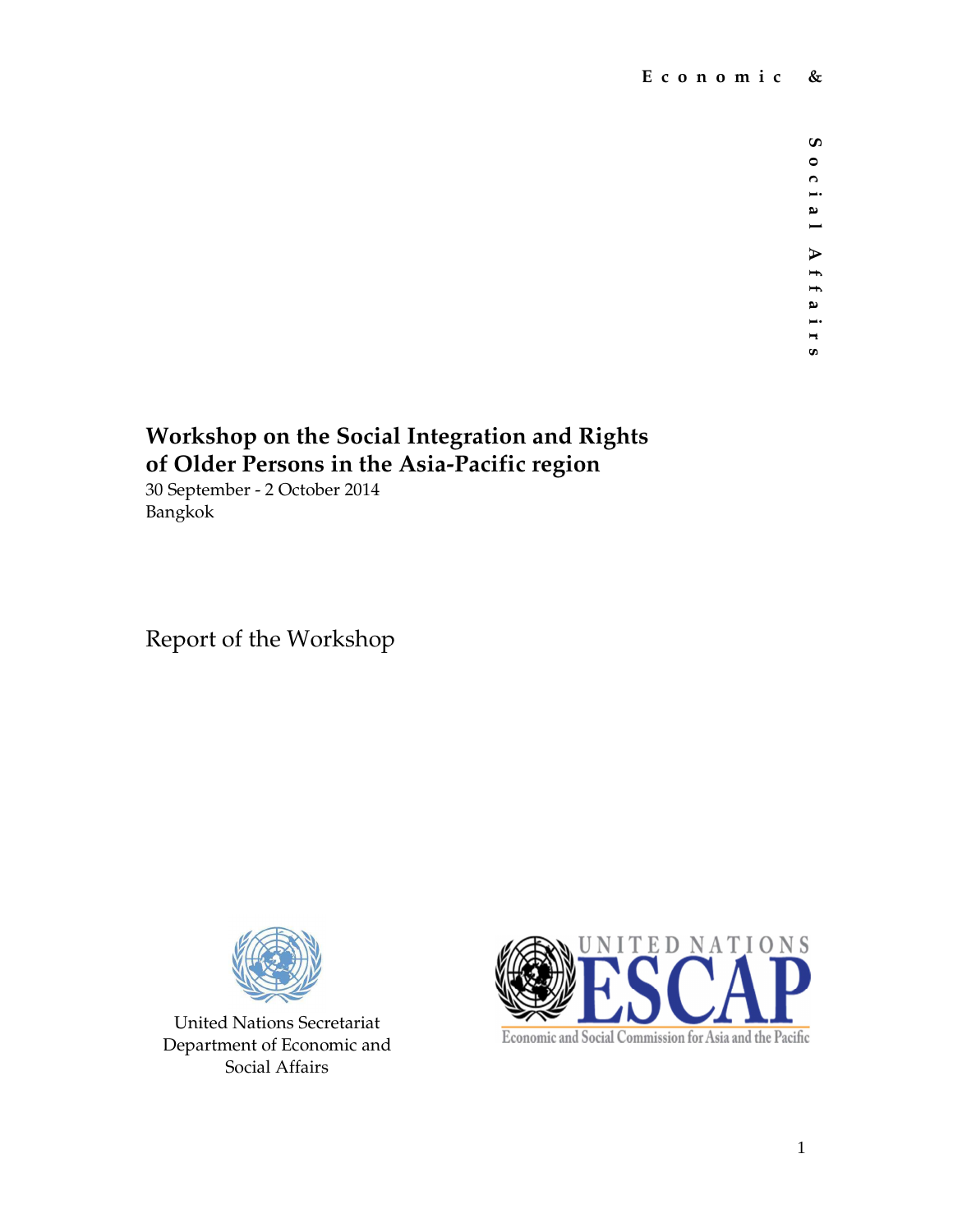$\pmb{\mathsf{c}}$ **S o c i a l A f f a i r s** $\bullet$  $\overline{c}$  $\overline{\phantom{a}}$ al Affair

 $\boldsymbol{\omega}$ 

# **Workshop on the Social Integration and Rights of Older Persons in the Asia-Pacific region**

30 September - 2 October 2014 Bangkok

Report of the Workshop



United Nations Secretariat Department of Economic and Social Affairs

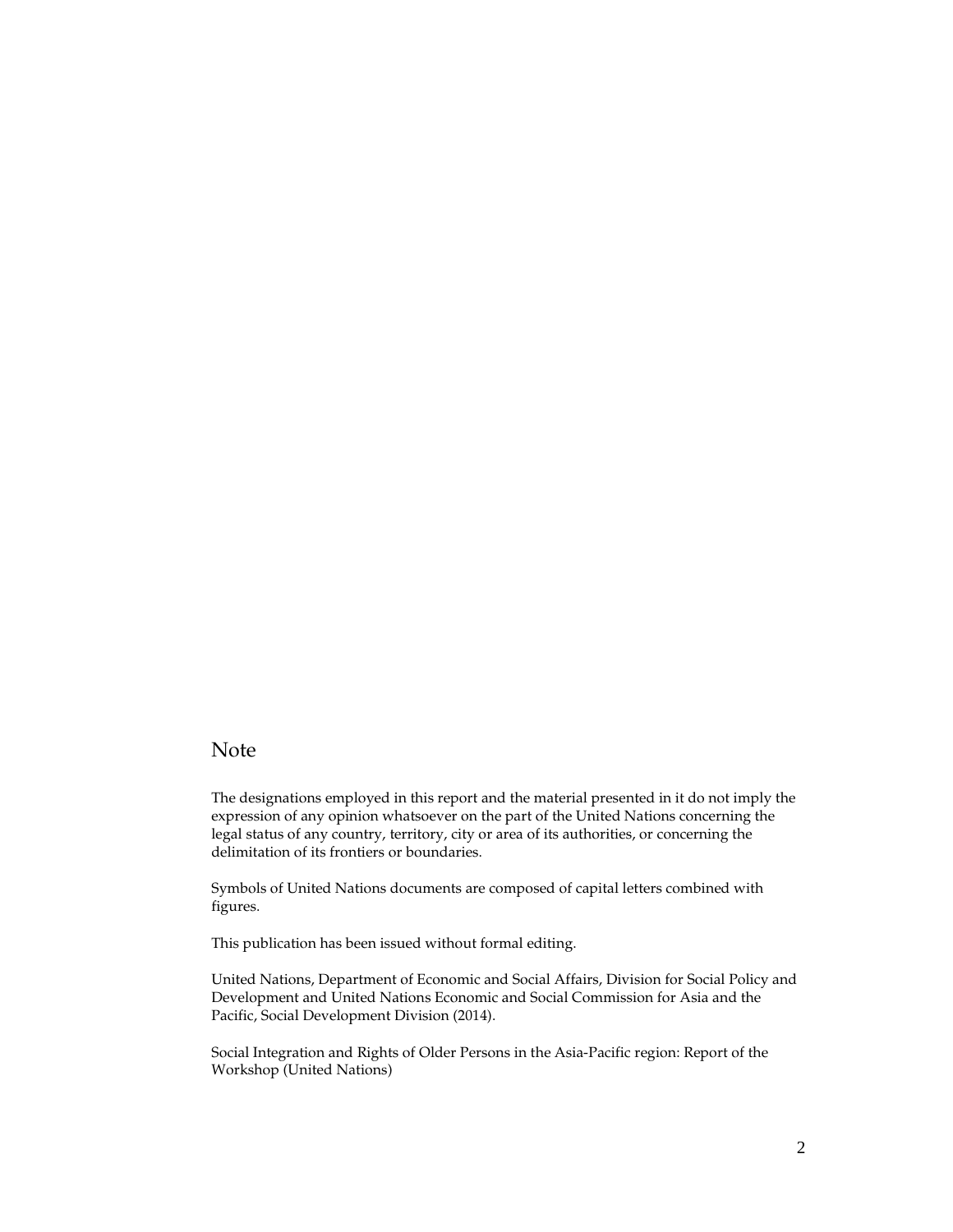#### Note

The designations employed in this report and the material presented in it do not imply the expression of any opinion whatsoever on the part of the United Nations concerning the legal status of any country, territory, city or area of its authorities, or concerning the delimitation of its frontiers or boundaries.

Symbols of United Nations documents are composed of capital letters combined with figures.

This publication has been issued without formal editing.

United Nations, Department of Economic and Social Affairs, Division for Social Policy and Development and United Nations Economic and Social Commission for Asia and the Pacific, Social Development Division (2014).

Social Integration and Rights of Older Persons in the Asia-Pacific region: Report of the Workshop (United Nations)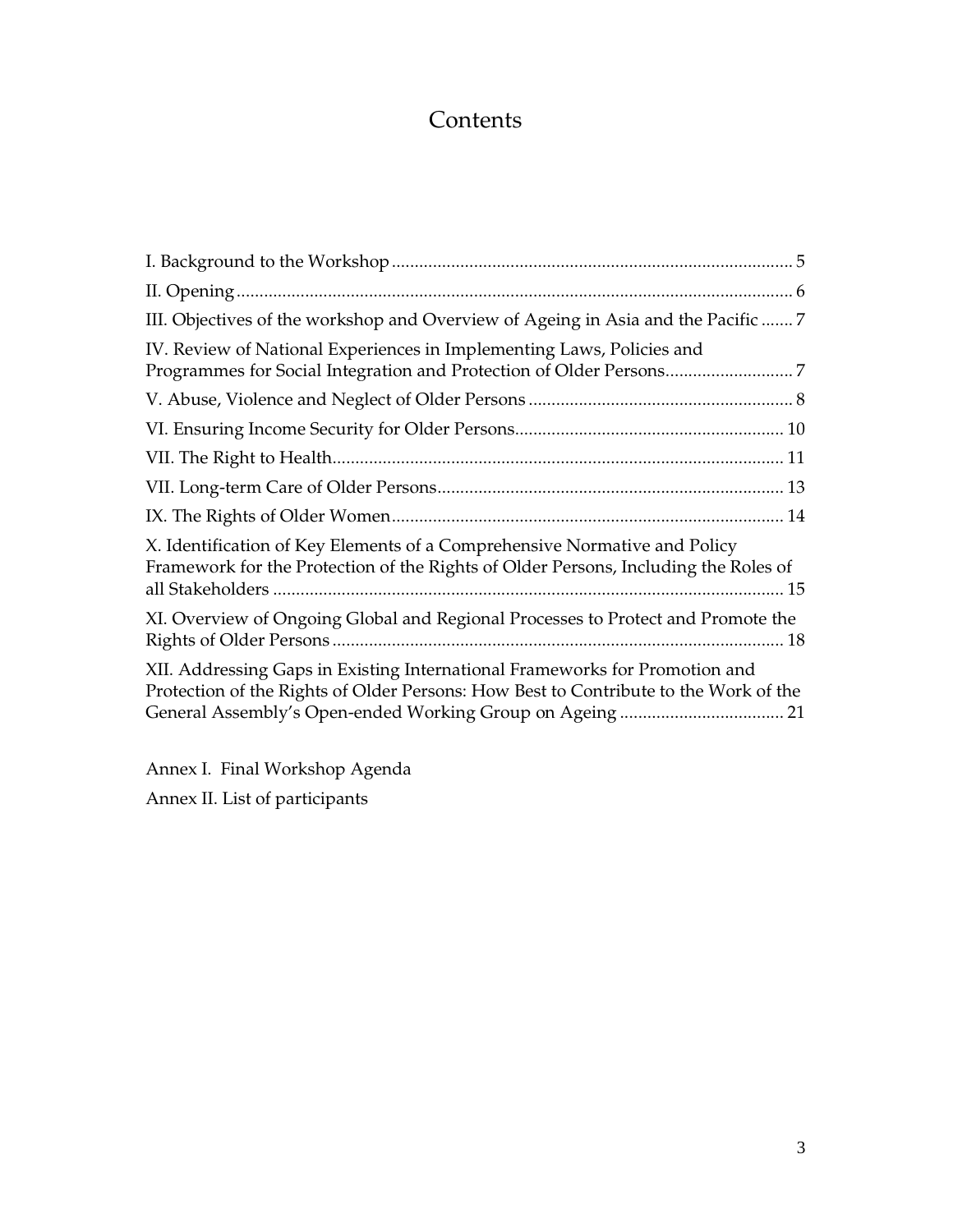## **Contents**

| III. Objectives of the workshop and Overview of Ageing in Asia and the Pacific  7                                                                                   |
|---------------------------------------------------------------------------------------------------------------------------------------------------------------------|
| IV. Review of National Experiences in Implementing Laws, Policies and                                                                                               |
|                                                                                                                                                                     |
|                                                                                                                                                                     |
|                                                                                                                                                                     |
|                                                                                                                                                                     |
|                                                                                                                                                                     |
| X. Identification of Key Elements of a Comprehensive Normative and Policy<br>Framework for the Protection of the Rights of Older Persons, Including the Roles of    |
| XI. Overview of Ongoing Global and Regional Processes to Protect and Promote the                                                                                    |
| XII. Addressing Gaps in Existing International Frameworks for Promotion and<br>Protection of the Rights of Older Persons: How Best to Contribute to the Work of the |

Annex I. Final Workshop Agenda Annex II. List of participants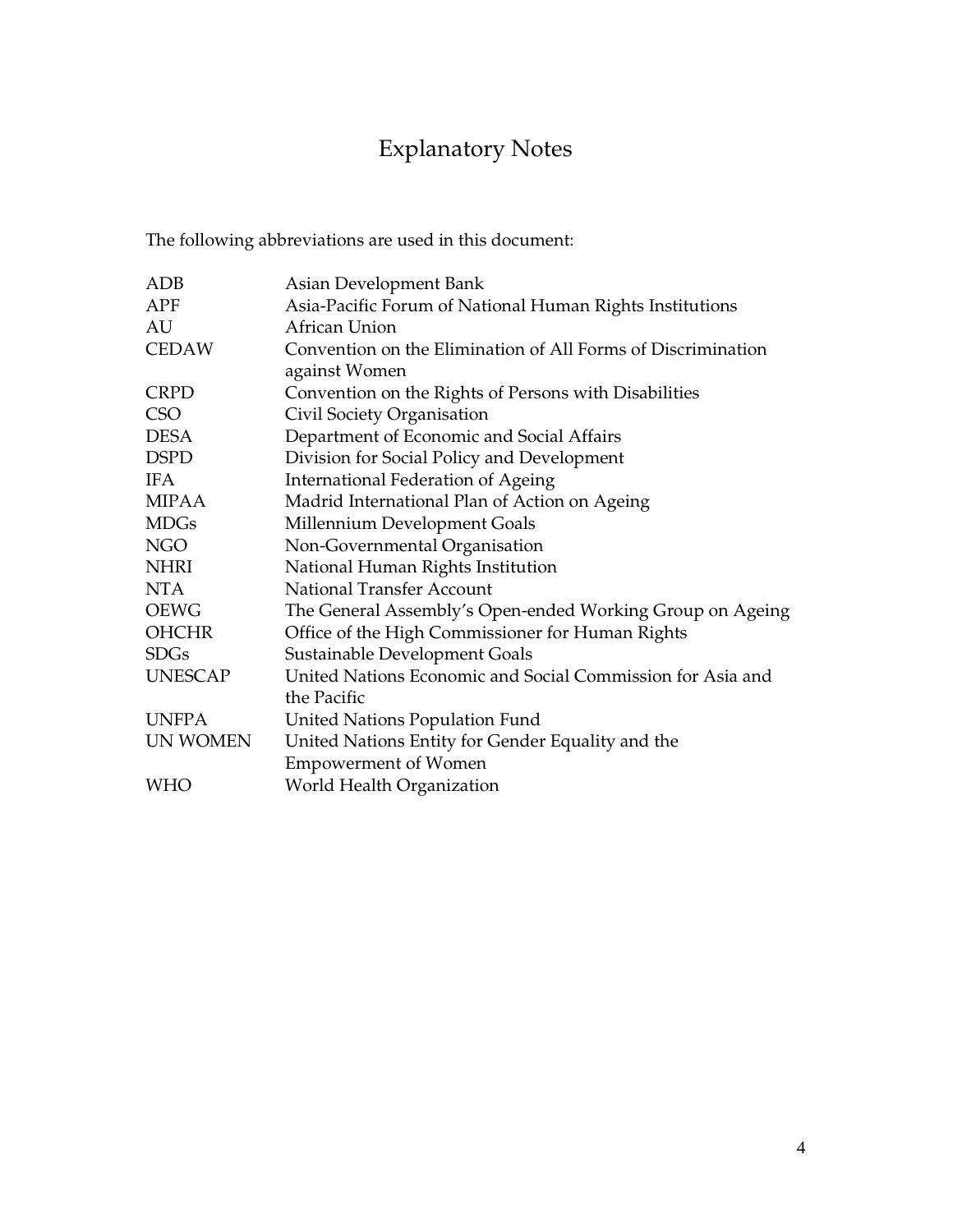# Explanatory Notes

The following abbreviations are used in this document:

| <b>ADB</b>      | Asian Development Bank                                       |
|-----------------|--------------------------------------------------------------|
| APF             | Asia-Pacific Forum of National Human Rights Institutions     |
| AU              | African Union                                                |
| <b>CEDAW</b>    | Convention on the Elimination of All Forms of Discrimination |
|                 | against Women                                                |
| <b>CRPD</b>     | Convention on the Rights of Persons with Disabilities        |
| <b>CSO</b>      | Civil Society Organisation                                   |
| <b>DESA</b>     | Department of Economic and Social Affairs                    |
| <b>DSPD</b>     | Division for Social Policy and Development                   |
| IFA.            | <b>International Federation of Ageing</b>                    |
| <b>MIPAA</b>    | Madrid International Plan of Action on Ageing                |
| <b>MDGs</b>     | Millennium Development Goals                                 |
| <b>NGO</b>      | Non-Governmental Organisation                                |
| <b>NHRI</b>     | National Human Rights Institution                            |
| <b>NTA</b>      | <b>National Transfer Account</b>                             |
| <b>OEWG</b>     | The General Assembly's Open-ended Working Group on Ageing    |
| <b>OHCHR</b>    | Office of the High Commissioner for Human Rights             |
| <b>SDGs</b>     | Sustainable Development Goals                                |
| <b>UNESCAP</b>  | United Nations Economic and Social Commission for Asia and   |
|                 | the Pacific                                                  |
| <b>UNFPA</b>    | United Nations Population Fund                               |
| <b>UN WOMEN</b> | United Nations Entity for Gender Equality and the            |
|                 | <b>Empowerment of Women</b>                                  |
| <b>WHO</b>      | World Health Organization                                    |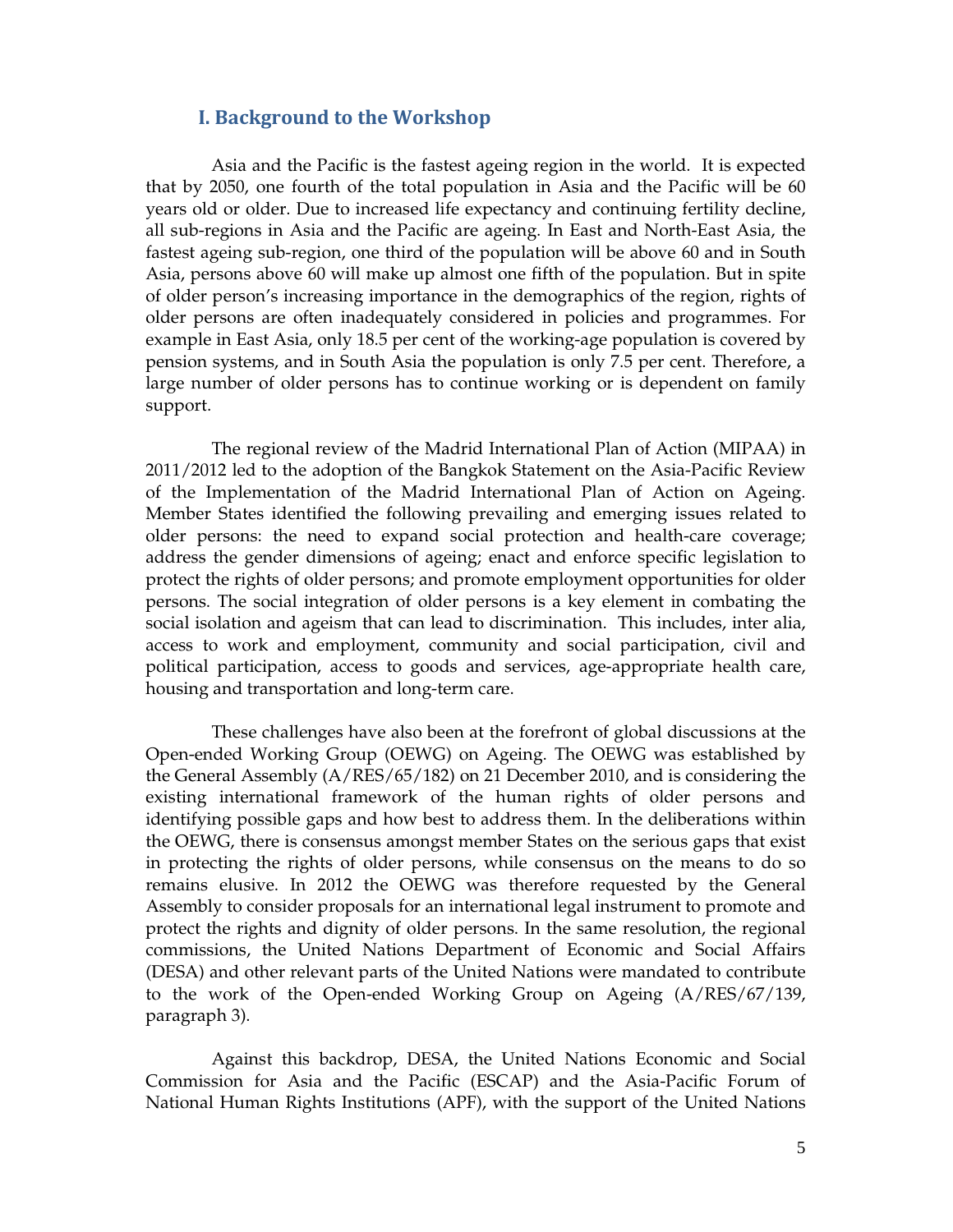## I. Background to the Workshop

Asia and the Pacific is the fastest ageing region in the world. It is expected that by 2050, one fourth of the total population in Asia and the Pacific will be 60 years old or older. Due to increased life expectancy and continuing fertility decline, all sub-regions in Asia and the Pacific are ageing. In East and North-East Asia, the fastest ageing sub-region, one third of the population will be above 60 and in South Asia, persons above 60 will make up almost one fifth of the population. But in spite of older person's increasing importance in the demographics of the region, rights of older persons are often inadequately considered in policies and programmes. For example in East Asia, only 18.5 per cent of the working-age population is covered by pension systems, and in South Asia the population is only 7.5 per cent. Therefore, a large number of older persons has to continue working or is dependent on family support.

The regional review of the Madrid International Plan of Action (MIPAA) in 2011/2012 led to the adoption of the Bangkok Statement on the Asia-Pacific Review of the Implementation of the Madrid International Plan of Action on Ageing. Member States identified the following prevailing and emerging issues related to older persons: the need to expand social protection and health-care coverage; address the gender dimensions of ageing; enact and enforce specific legislation to protect the rights of older persons; and promote employment opportunities for older persons. The social integration of older persons is a key element in combating the social isolation and ageism that can lead to discrimination. This includes, inter alia, access to work and employment, community and social participation, civil and political participation, access to goods and services, age-appropriate health care, housing and transportation and long-term care.

These challenges have also been at the forefront of global discussions at the Open-ended Working Group (OEWG) on Ageing. The OEWG was established by the General Assembly (A/RES/65/182) on 21 December 2010, and is considering the existing international framework of the human rights of older persons and identifying possible gaps and how best to address them. In the deliberations within the OEWG, there is consensus amongst member States on the serious gaps that exist in protecting the rights of older persons, while consensus on the means to do so remains elusive. In 2012 the OEWG was therefore requested by the General Assembly to consider proposals for an international legal instrument to promote and protect the rights and dignity of older persons. In the same resolution, the regional commissions, the United Nations Department of Economic and Social Affairs (DESA) and other relevant parts of the United Nations were mandated to contribute to the work of the Open-ended Working Group on Ageing (A/RES/67/139, paragraph 3).

Against this backdrop, DESA, the United Nations Economic and Social Commission for Asia and the Pacific (ESCAP) and the Asia-Pacific Forum of National Human Rights Institutions (APF), with the support of the United Nations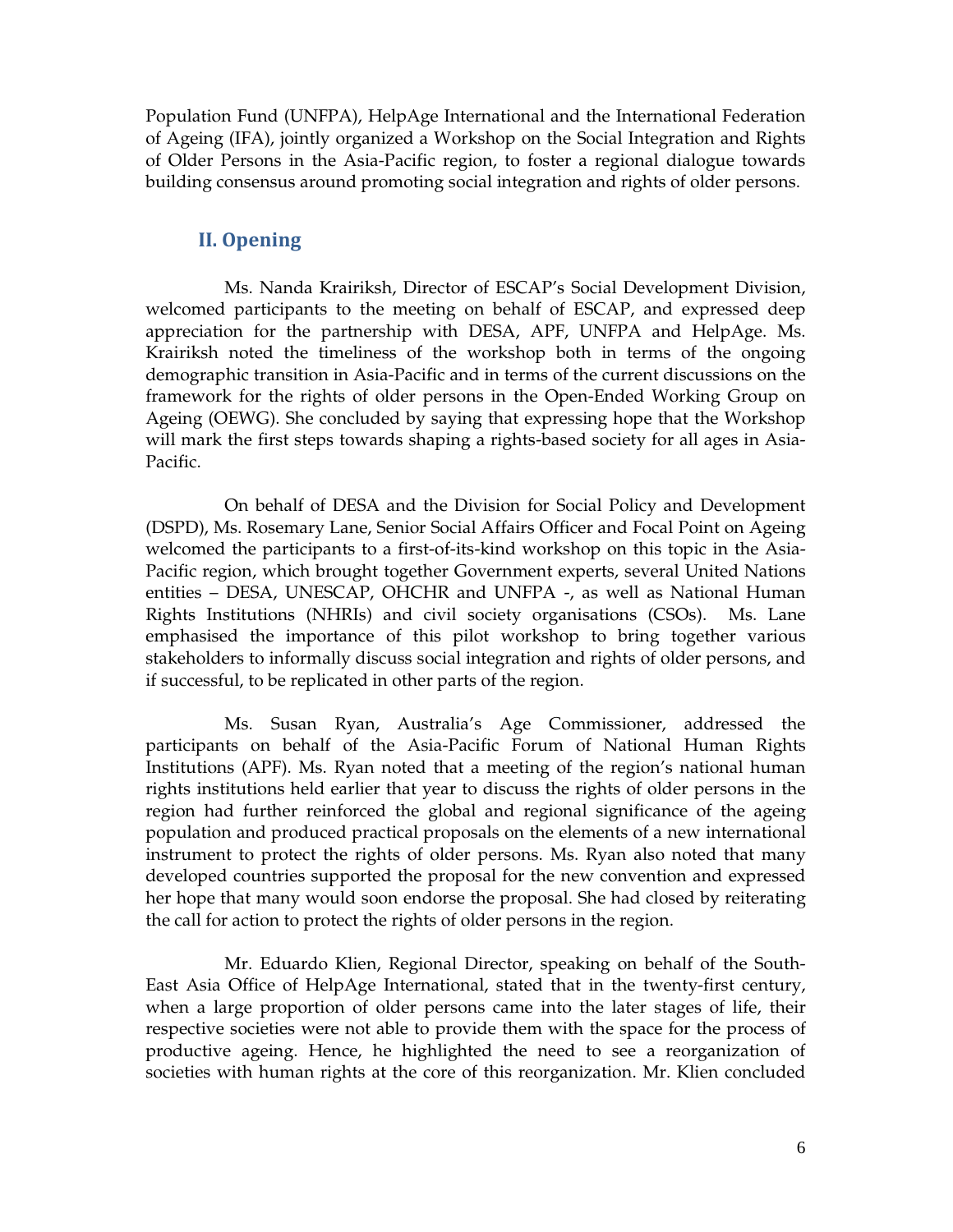Population Fund (UNFPA), HelpAge International and the International Federation of Ageing (IFA), jointly organized a Workshop on the Social Integration and Rights of Older Persons in the Asia-Pacific region, to foster a regional dialogue towards building consensus around promoting social integration and rights of older persons.

## II. Opening

Ms. Nanda Krairiksh, Director of ESCAP's Social Development Division, welcomed participants to the meeting on behalf of ESCAP, and expressed deep appreciation for the partnership with DESA, APF, UNFPA and HelpAge. Ms. Krairiksh noted the timeliness of the workshop both in terms of the ongoing demographic transition in Asia-Pacific and in terms of the current discussions on the framework for the rights of older persons in the Open-Ended Working Group on Ageing (OEWG). She concluded by saying that expressing hope that the Workshop will mark the first steps towards shaping a rights-based society for all ages in Asia-Pacific.

On behalf of DESA and the Division for Social Policy and Development (DSPD), Ms. Rosemary Lane, Senior Social Affairs Officer and Focal Point on Ageing welcomed the participants to a first-of-its-kind workshop on this topic in the Asia-Pacific region, which brought together Government experts, several United Nations entities – DESA, UNESCAP, OHCHR and UNFPA -, as well as National Human Rights Institutions (NHRIs) and civil society organisations (CSOs). Ms. Lane emphasised the importance of this pilot workshop to bring together various stakeholders to informally discuss social integration and rights of older persons, and if successful, to be replicated in other parts of the region.

Ms. Susan Ryan, Australia's Age Commissioner, addressed the participants on behalf of the Asia-Pacific Forum of National Human Rights Institutions (APF). Ms. Ryan noted that a meeting of the region's national human rights institutions held earlier that year to discuss the rights of older persons in the region had further reinforced the global and regional significance of the ageing population and produced practical proposals on the elements of a new international instrument to protect the rights of older persons. Ms. Ryan also noted that many developed countries supported the proposal for the new convention and expressed her hope that many would soon endorse the proposal. She had closed by reiterating the call for action to protect the rights of older persons in the region.

Mr. Eduardo Klien, Regional Director, speaking on behalf of the South-East Asia Office of HelpAge International, stated that in the twenty-first century, when a large proportion of older persons came into the later stages of life, their respective societies were not able to provide them with the space for the process of productive ageing. Hence, he highlighted the need to see a reorganization of societies with human rights at the core of this reorganization. Mr. Klien concluded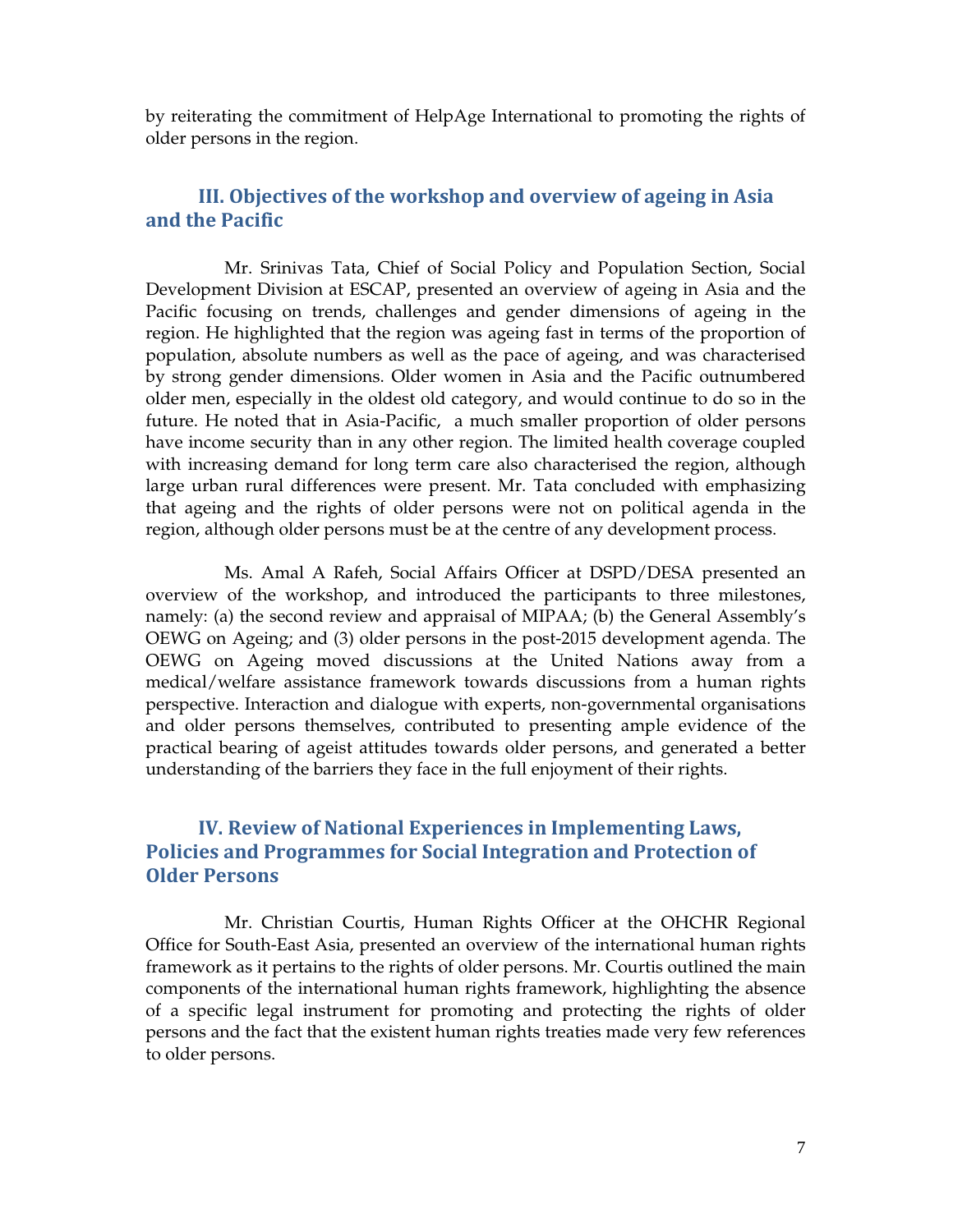by reiterating the commitment of HelpAge International to promoting the rights of older persons in the region.

## III. Objectives of the workshop and overview of ageing in Asia and the Pacific

Mr. Srinivas Tata, Chief of Social Policy and Population Section, Social Development Division at ESCAP, presented an overview of ageing in Asia and the Pacific focusing on trends, challenges and gender dimensions of ageing in the region. He highlighted that the region was ageing fast in terms of the proportion of population, absolute numbers as well as the pace of ageing, and was characterised by strong gender dimensions. Older women in Asia and the Pacific outnumbered older men, especially in the oldest old category, and would continue to do so in the future. He noted that in Asia-Pacific, a much smaller proportion of older persons have income security than in any other region. The limited health coverage coupled with increasing demand for long term care also characterised the region, although large urban rural differences were present. Mr. Tata concluded with emphasizing that ageing and the rights of older persons were not on political agenda in the region, although older persons must be at the centre of any development process.

Ms. Amal A Rafeh, Social Affairs Officer at DSPD/DESA presented an overview of the workshop, and introduced the participants to three milestones, namely: (a) the second review and appraisal of MIPAA; (b) the General Assembly's OEWG on Ageing; and (3) older persons in the post-2015 development agenda. The OEWG on Ageing moved discussions at the United Nations away from a medical/welfare assistance framework towards discussions from a human rights perspective. Interaction and dialogue with experts, non-governmental organisations and older persons themselves, contributed to presenting ample evidence of the practical bearing of ageist attitudes towards older persons, and generated a better understanding of the barriers they face in the full enjoyment of their rights.

## IV. Review of National Experiences in Implementing Laws, Policies and Programmes for Social Integration and Protection of Older Persons

Mr. Christian Courtis, Human Rights Officer at the OHCHR Regional Office for South-East Asia, presented an overview of the international human rights framework as it pertains to the rights of older persons. Mr. Courtis outlined the main components of the international human rights framework, highlighting the absence of a specific legal instrument for promoting and protecting the rights of older persons and the fact that the existent human rights treaties made very few references to older persons.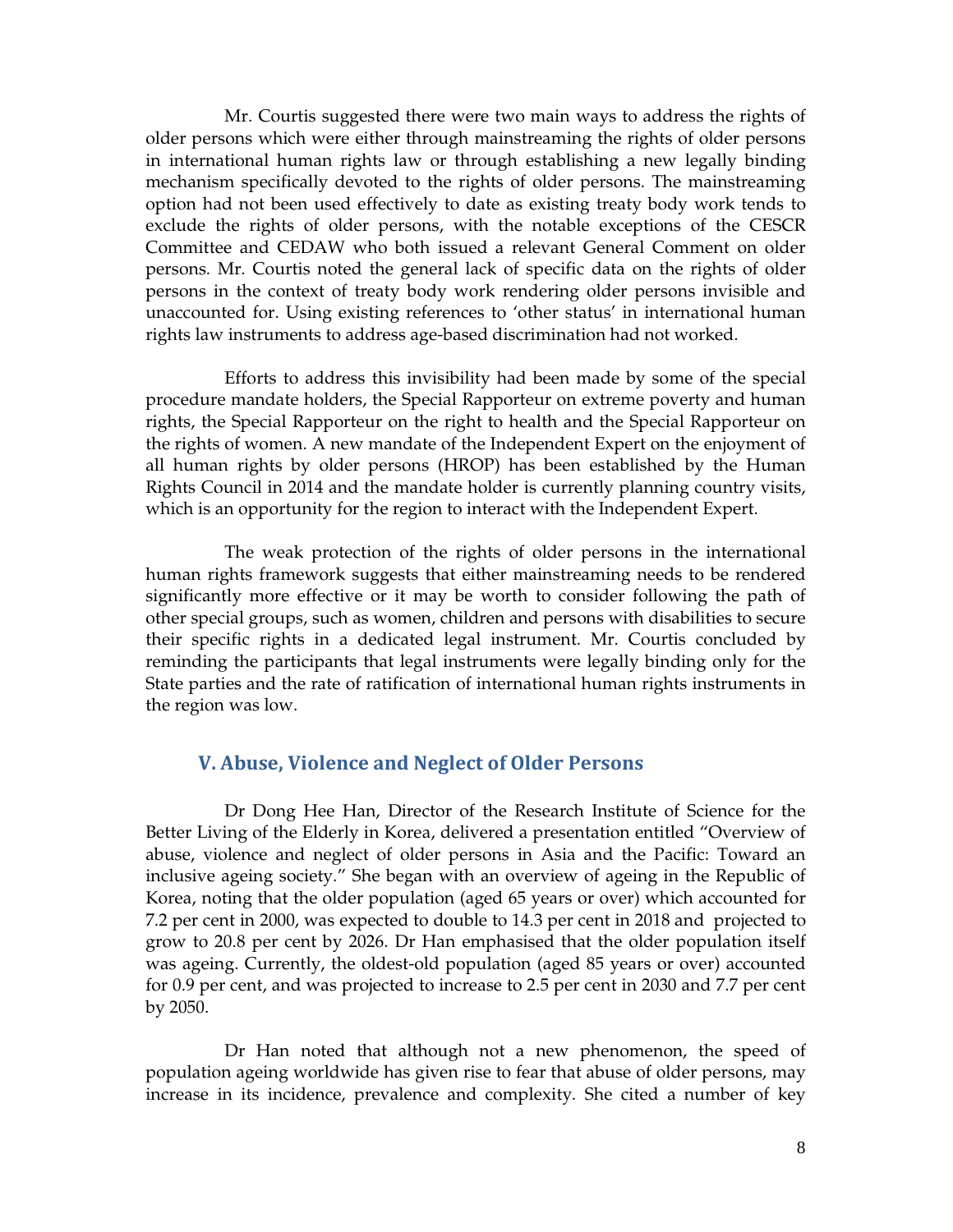Mr. Courtis suggested there were two main ways to address the rights of older persons which were either through mainstreaming the rights of older persons in international human rights law or through establishing a new legally binding mechanism specifically devoted to the rights of older persons. The mainstreaming option had not been used effectively to date as existing treaty body work tends to exclude the rights of older persons, with the notable exceptions of the CESCR Committee and CEDAW who both issued a relevant General Comment on older persons. Mr. Courtis noted the general lack of specific data on the rights of older persons in the context of treaty body work rendering older persons invisible and unaccounted for. Using existing references to 'other status' in international human rights law instruments to address age-based discrimination had not worked.

Efforts to address this invisibility had been made by some of the special procedure mandate holders, the Special Rapporteur on extreme poverty and human rights, the Special Rapporteur on the right to health and the Special Rapporteur on the rights of women. A new mandate of the Independent Expert on the enjoyment of all human rights by older persons (HROP) has been established by the Human Rights Council in 2014 and the mandate holder is currently planning country visits, which is an opportunity for the region to interact with the Independent Expert.

The weak protection of the rights of older persons in the international human rights framework suggests that either mainstreaming needs to be rendered significantly more effective or it may be worth to consider following the path of other special groups, such as women, children and persons with disabilities to secure their specific rights in a dedicated legal instrument. Mr. Courtis concluded by reminding the participants that legal instruments were legally binding only for the State parties and the rate of ratification of international human rights instruments in the region was low.

## V. Abuse, Violence and Neglect of Older Persons

Dr Dong Hee Han, Director of the Research Institute of Science for the Better Living of the Elderly in Korea, delivered a presentation entitled "Overview of abuse, violence and neglect of older persons in Asia and the Pacific: Toward an inclusive ageing society." She began with an overview of ageing in the Republic of Korea, noting that the older population (aged 65 years or over) which accounted for 7.2 per cent in 2000, was expected to double to 14.3 per cent in 2018 and projected to grow to 20.8 per cent by 2026. Dr Han emphasised that the older population itself was ageing. Currently, the oldest-old population (aged 85 years or over) accounted for 0.9 per cent, and was projected to increase to 2.5 per cent in 2030 and 7.7 per cent by 2050.

Dr Han noted that although not a new phenomenon, the speed of population ageing worldwide has given rise to fear that abuse of older persons, may increase in its incidence, prevalence and complexity. She cited a number of key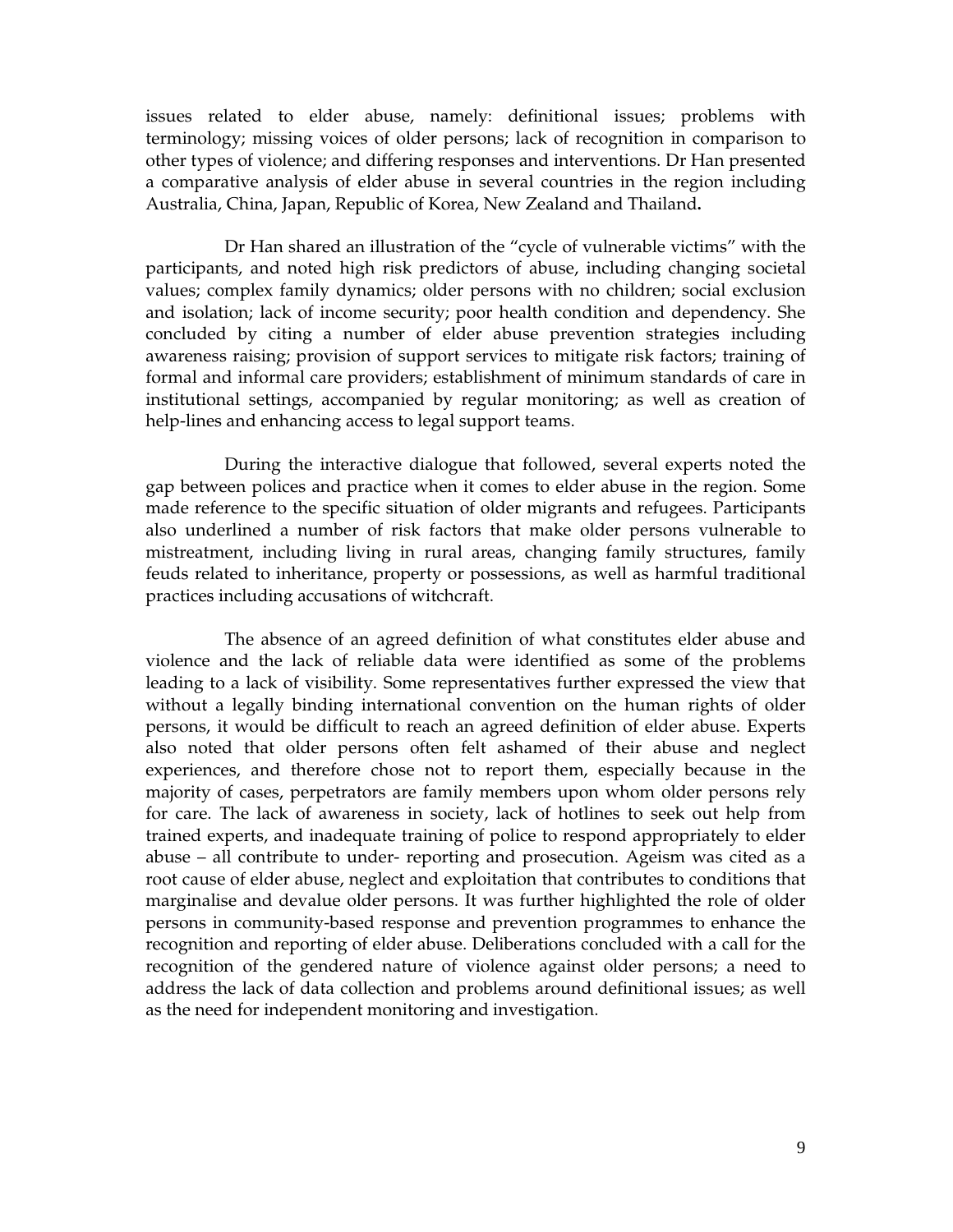issues related to elder abuse, namely: definitional issues; problems with terminology; missing voices of older persons; lack of recognition in comparison to other types of violence; and differing responses and interventions. Dr Han presented a comparative analysis of elder abuse in several countries in the region including Australia, China, Japan, Republic of Korea, New Zealand and Thailand**.** 

Dr Han shared an illustration of the "cycle of vulnerable victims" with the participants, and noted high risk predictors of abuse, including changing societal values; complex family dynamics; older persons with no children; social exclusion and isolation; lack of income security; poor health condition and dependency. She concluded by citing a number of elder abuse prevention strategies including awareness raising; provision of support services to mitigate risk factors; training of formal and informal care providers; establishment of minimum standards of care in institutional settings, accompanied by regular monitoring; as well as creation of help-lines and enhancing access to legal support teams.

During the interactive dialogue that followed, several experts noted the gap between polices and practice when it comes to elder abuse in the region. Some made reference to the specific situation of older migrants and refugees. Participants also underlined a number of risk factors that make older persons vulnerable to mistreatment, including living in rural areas, changing family structures, family feuds related to inheritance, property or possessions, as well as harmful traditional practices including accusations of witchcraft.

The absence of an agreed definition of what constitutes elder abuse and violence and the lack of reliable data were identified as some of the problems leading to a lack of visibility. Some representatives further expressed the view that without a legally binding international convention on the human rights of older persons, it would be difficult to reach an agreed definition of elder abuse. Experts also noted that older persons often felt ashamed of their abuse and neglect experiences, and therefore chose not to report them, especially because in the majority of cases, perpetrators are family members upon whom older persons rely for care. The lack of awareness in society, lack of hotlines to seek out help from trained experts, and inadequate training of police to respond appropriately to elder abuse – all contribute to under- reporting and prosecution. Ageism was cited as a root cause of elder abuse, neglect and exploitation that contributes to conditions that marginalise and devalue older persons. It was further highlighted the role of older persons in community-based response and prevention programmes to enhance the recognition and reporting of elder abuse. Deliberations concluded with a call for the recognition of the gendered nature of violence against older persons; a need to address the lack of data collection and problems around definitional issues; as well as the need for independent monitoring and investigation.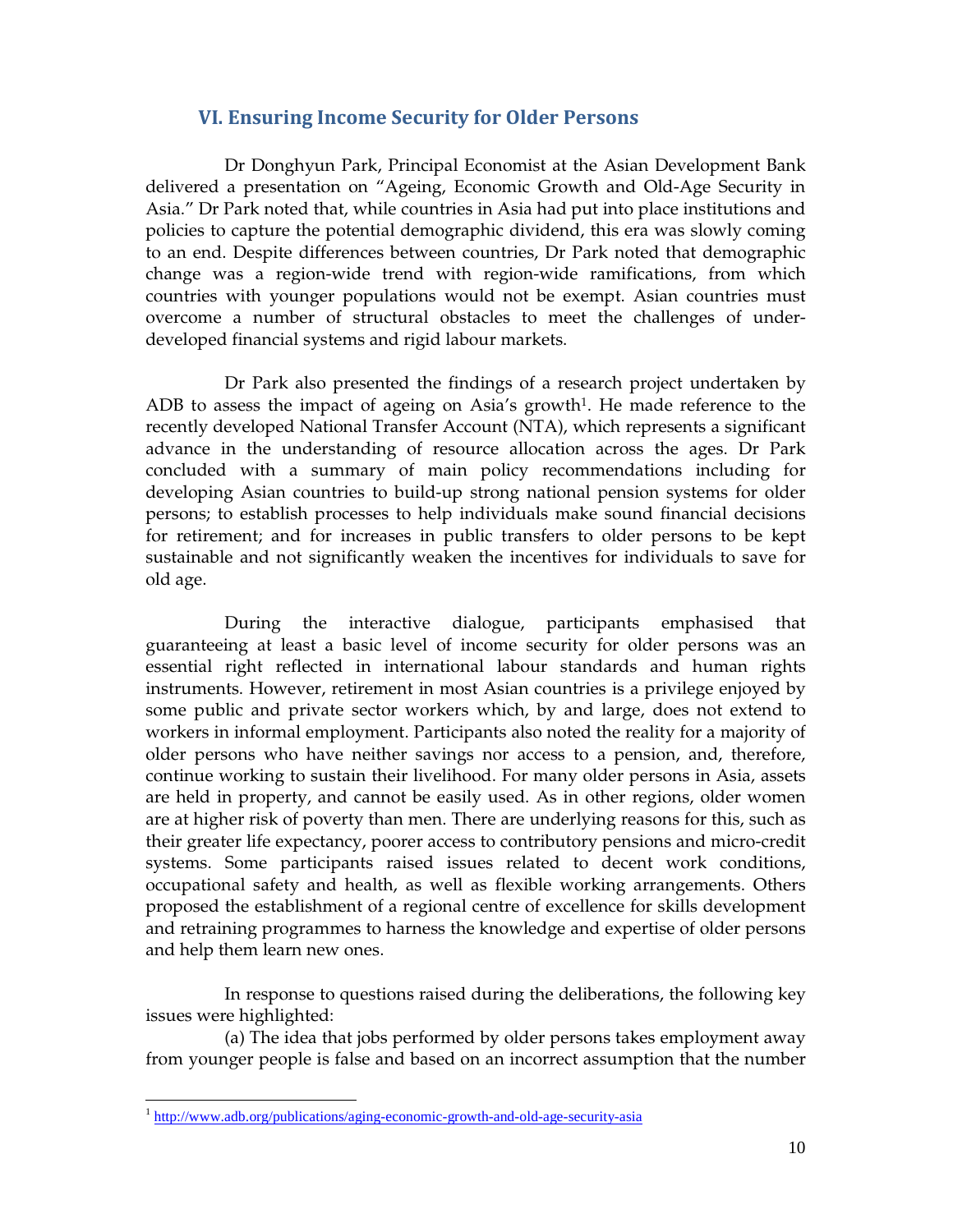## VI. Ensuring Income Security for Older Persons

Dr Donghyun Park, Principal Economist at the Asian Development Bank delivered a presentation on "Ageing, Economic Growth and Old-Age Security in Asia." Dr Park noted that, while countries in Asia had put into place institutions and policies to capture the potential demographic dividend, this era was slowly coming to an end. Despite differences between countries, Dr Park noted that demographic change was a region-wide trend with region-wide ramifications, from which countries with younger populations would not be exempt. Asian countries must overcome a number of structural obstacles to meet the challenges of underdeveloped financial systems and rigid labour markets.

Dr Park also presented the findings of a research project undertaken by ADB to assess the impact of ageing on Asia's growth<sup>1</sup>. He made reference to the recently developed National Transfer Account (NTA), which represents a significant advance in the understanding of resource allocation across the ages. Dr Park concluded with a summary of main policy recommendations including for developing Asian countries to build-up strong national pension systems for older persons; to establish processes to help individuals make sound financial decisions for retirement; and for increases in public transfers to older persons to be kept sustainable and not significantly weaken the incentives for individuals to save for old age.

During the interactive dialogue, participants emphasised that guaranteeing at least a basic level of income security for older persons was an essential right reflected in international labour standards and human rights instruments. However, retirement in most Asian countries is a privilege enjoyed by some public and private sector workers which, by and large, does not extend to workers in informal employment. Participants also noted the reality for a majority of older persons who have neither savings nor access to a pension, and, therefore, continue working to sustain their livelihood. For many older persons in Asia, assets are held in property, and cannot be easily used. As in other regions, older women are at higher risk of poverty than men. There are underlying reasons for this, such as their greater life expectancy, poorer access to contributory pensions and micro-credit systems. Some participants raised issues related to decent work conditions, occupational safety and health, as well as flexible working arrangements. Others proposed the establishment of a regional centre of excellence for skills development and retraining programmes to harness the knowledge and expertise of older persons and help them learn new ones.

In response to questions raised during the deliberations, the following key issues were highlighted:

(a) The idea that jobs performed by older persons takes employment away from younger people is false and based on an incorrect assumption that the number

<sup>&</sup>lt;sup>1</sup> http://www.adb.org/publications/aging-economic-growth-and-old-age-security-asia<sup>1</sup>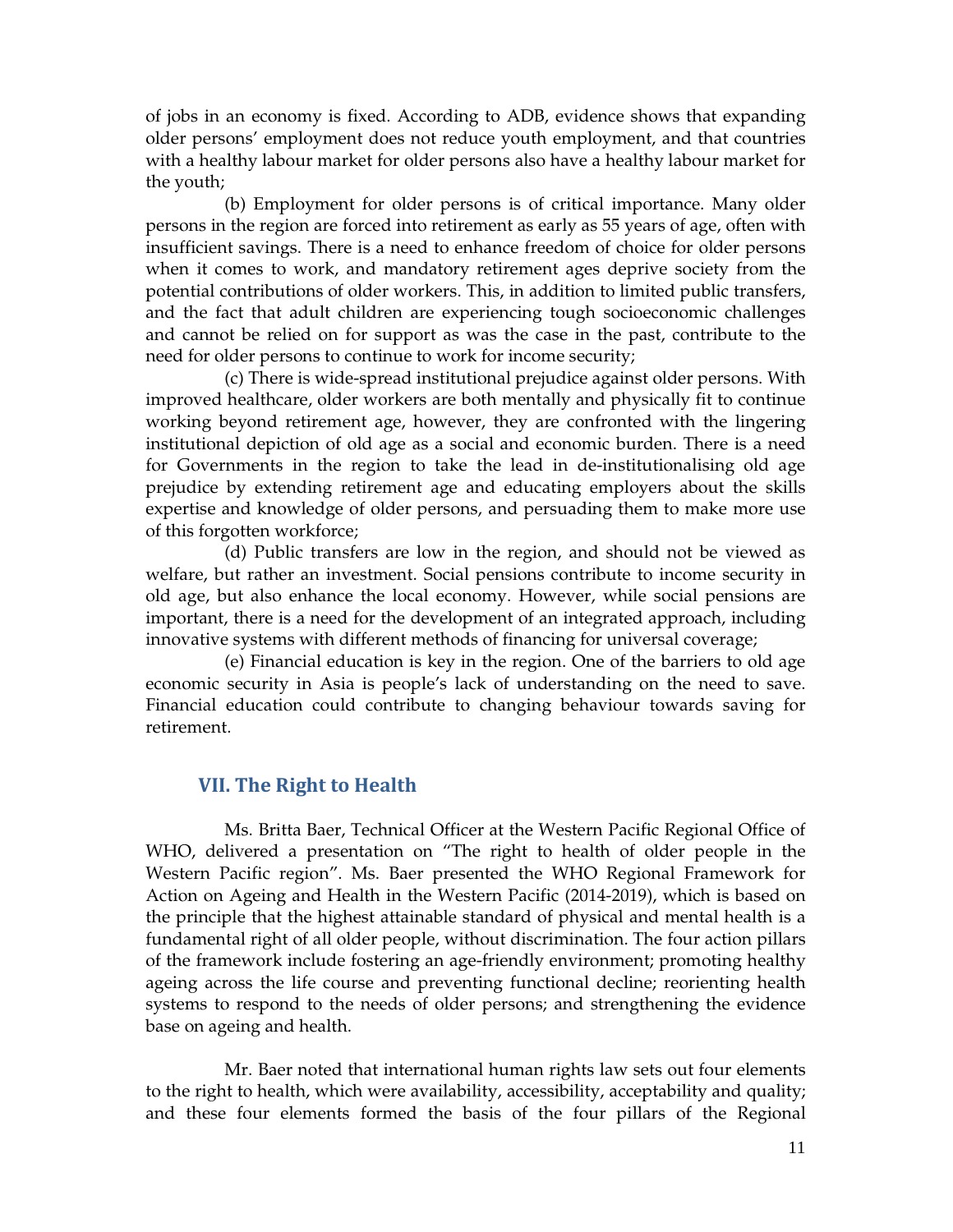of jobs in an economy is fixed. According to ADB, evidence shows that expanding older persons' employment does not reduce youth employment, and that countries with a healthy labour market for older persons also have a healthy labour market for the youth;

(b) Employment for older persons is of critical importance. Many older persons in the region are forced into retirement as early as 55 years of age, often with insufficient savings. There is a need to enhance freedom of choice for older persons when it comes to work, and mandatory retirement ages deprive society from the potential contributions of older workers. This, in addition to limited public transfers, and the fact that adult children are experiencing tough socioeconomic challenges and cannot be relied on for support as was the case in the past, contribute to the need for older persons to continue to work for income security;

(c) There is wide-spread institutional prejudice against older persons. With improved healthcare, older workers are both mentally and physically fit to continue working beyond retirement age, however, they are confronted with the lingering institutional depiction of old age as a social and economic burden. There is a need for Governments in the region to take the lead in de-institutionalising old age prejudice by extending retirement age and educating employers about the skills expertise and knowledge of older persons, and persuading them to make more use of this forgotten workforce;

(d) Public transfers are low in the region, and should not be viewed as welfare, but rather an investment. Social pensions contribute to income security in old age, but also enhance the local economy. However, while social pensions are important, there is a need for the development of an integrated approach, including innovative systems with different methods of financing for universal coverage;

(e) Financial education is key in the region. One of the barriers to old age economic security in Asia is people's lack of understanding on the need to save. Financial education could contribute to changing behaviour towards saving for retirement.

## VII. The Right to Health

Ms. Britta Baer, Technical Officer at the Western Pacific Regional Office of WHO, delivered a presentation on "The right to health of older people in the Western Pacific region". Ms. Baer presented the WHO Regional Framework for Action on Ageing and Health in the Western Pacific (2014-2019), which is based on the principle that the highest attainable standard of physical and mental health is a fundamental right of all older people, without discrimination. The four action pillars of the framework include fostering an age-friendly environment; promoting healthy ageing across the life course and preventing functional decline; reorienting health systems to respond to the needs of older persons; and strengthening the evidence base on ageing and health.

Mr. Baer noted that international human rights law sets out four elements to the right to health, which were availability, accessibility, acceptability and quality; and these four elements formed the basis of the four pillars of the Regional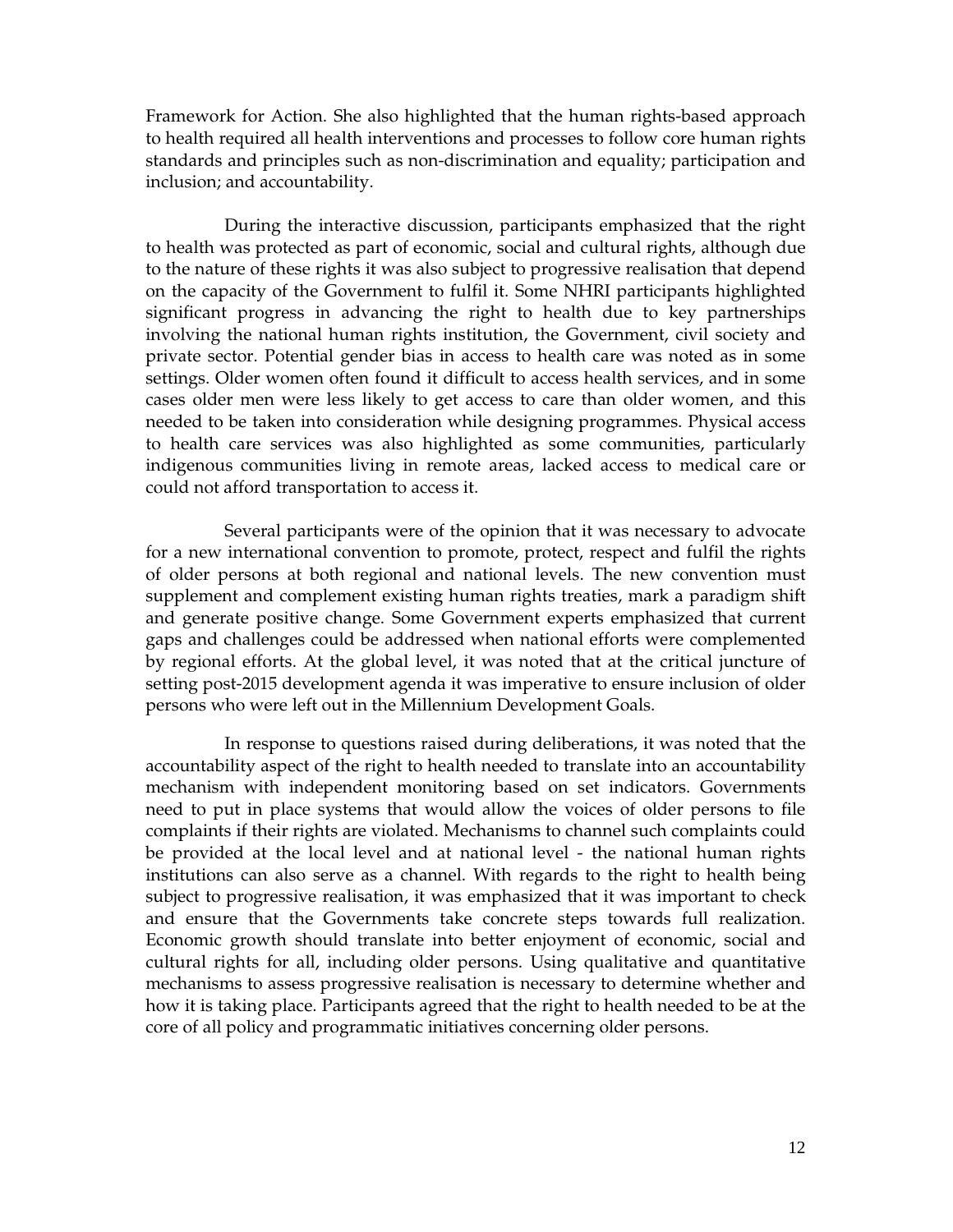Framework for Action. She also highlighted that the human rights-based approach to health required all health interventions and processes to follow core human rights standards and principles such as non-discrimination and equality; participation and inclusion; and accountability.

During the interactive discussion, participants emphasized that the right to health was protected as part of economic, social and cultural rights, although due to the nature of these rights it was also subject to progressive realisation that depend on the capacity of the Government to fulfil it. Some NHRI participants highlighted significant progress in advancing the right to health due to key partnerships involving the national human rights institution, the Government, civil society and private sector. Potential gender bias in access to health care was noted as in some settings. Older women often found it difficult to access health services, and in some cases older men were less likely to get access to care than older women, and this needed to be taken into consideration while designing programmes. Physical access to health care services was also highlighted as some communities, particularly indigenous communities living in remote areas, lacked access to medical care or could not afford transportation to access it.

Several participants were of the opinion that it was necessary to advocate for a new international convention to promote, protect, respect and fulfil the rights of older persons at both regional and national levels. The new convention must supplement and complement existing human rights treaties, mark a paradigm shift and generate positive change. Some Government experts emphasized that current gaps and challenges could be addressed when national efforts were complemented by regional efforts. At the global level, it was noted that at the critical juncture of setting post-2015 development agenda it was imperative to ensure inclusion of older persons who were left out in the Millennium Development Goals.

In response to questions raised during deliberations, it was noted that the accountability aspect of the right to health needed to translate into an accountability mechanism with independent monitoring based on set indicators. Governments need to put in place systems that would allow the voices of older persons to file complaints if their rights are violated. Mechanisms to channel such complaints could be provided at the local level and at national level - the national human rights institutions can also serve as a channel. With regards to the right to health being subject to progressive realisation, it was emphasized that it was important to check and ensure that the Governments take concrete steps towards full realization. Economic growth should translate into better enjoyment of economic, social and cultural rights for all, including older persons. Using qualitative and quantitative mechanisms to assess progressive realisation is necessary to determine whether and how it is taking place. Participants agreed that the right to health needed to be at the core of all policy and programmatic initiatives concerning older persons.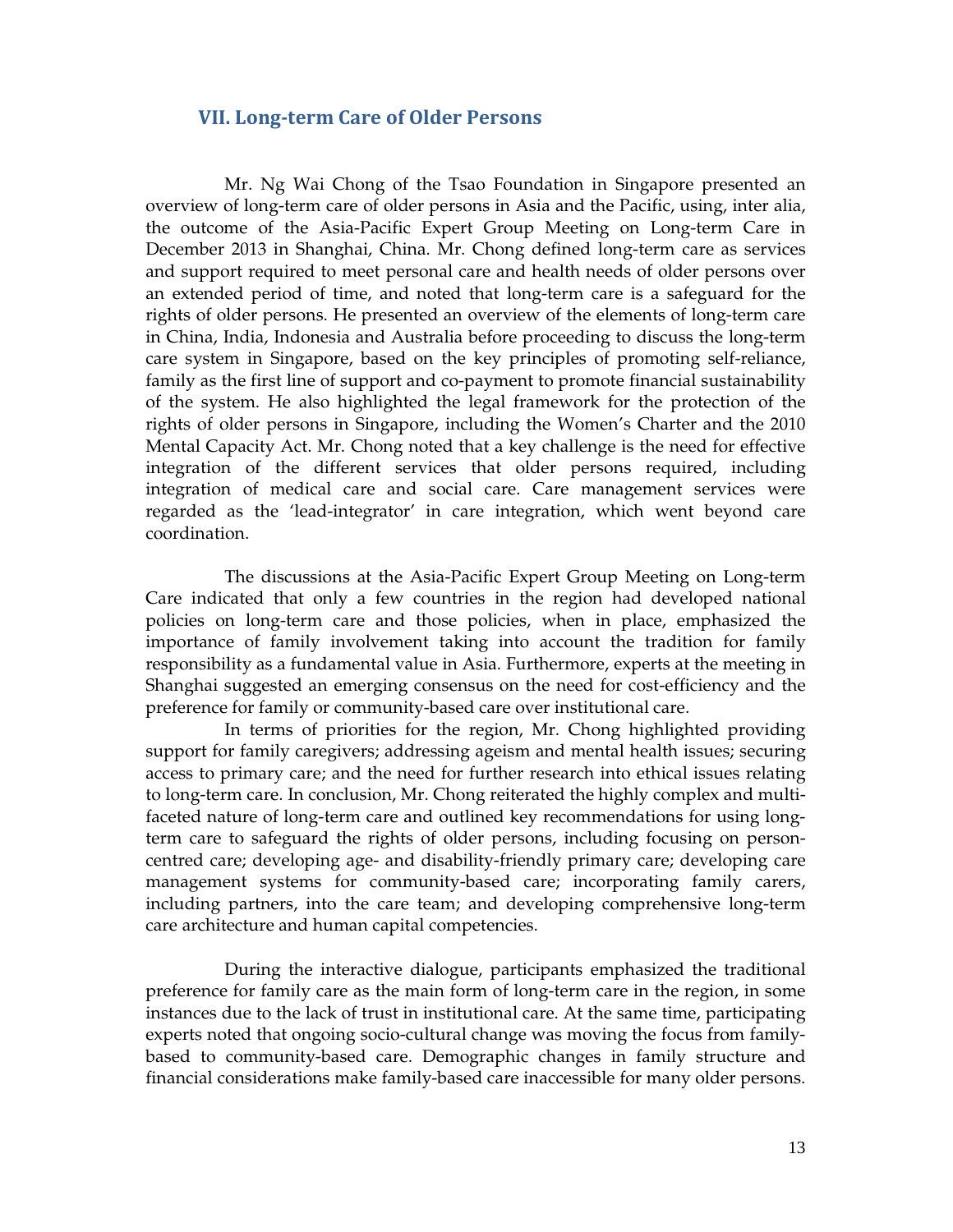## VII. Long-term Care of Older Persons

Mr. Ng Wai Chong of the Tsao Foundation in Singapore presented an overview of long-term care of older persons in Asia and the Pacific, using, inter alia, the outcome of the Asia-Pacific Expert Group Meeting on Long-term Care in December 2013 in Shanghai, China. Mr. Chong defined long-term care as services and support required to meet personal care and health needs of older persons over an extended period of time, and noted that long-term care is a safeguard for the rights of older persons. He presented an overview of the elements of long-term care in China, India, Indonesia and Australia before proceeding to discuss the long-term care system in Singapore, based on the key principles of promoting self-reliance, family as the first line of support and co-payment to promote financial sustainability of the system. He also highlighted the legal framework for the protection of the rights of older persons in Singapore, including the Women's Charter and the 2010 Mental Capacity Act. Mr. Chong noted that a key challenge is the need for effective integration of the different services that older persons required, including integration of medical care and social care. Care management services were regarded as the 'lead-integrator' in care integration, which went beyond care coordination.

The discussions at the Asia-Pacific Expert Group Meeting on Long-term Care indicated that only a few countries in the region had developed national policies on long-term care and those policies, when in place, emphasized the importance of family involvement taking into account the tradition for family responsibility as a fundamental value in Asia. Furthermore, experts at the meeting in Shanghai suggested an emerging consensus on the need for cost-efficiency and the preference for family or community-based care over institutional care.

In terms of priorities for the region, Mr. Chong highlighted providing support for family caregivers; addressing ageism and mental health issues; securing access to primary care; and the need for further research into ethical issues relating to long-term care. In conclusion, Mr. Chong reiterated the highly complex and multifaceted nature of long-term care and outlined key recommendations for using longterm care to safeguard the rights of older persons, including focusing on personcentred care; developing age- and disability-friendly primary care; developing care management systems for community-based care; incorporating family carers, including partners, into the care team; and developing comprehensive long-term care architecture and human capital competencies.

During the interactive dialogue, participants emphasized the traditional preference for family care as the main form of long-term care in the region, in some instances due to the lack of trust in institutional care. At the same time, participating experts noted that ongoing socio-cultural change was moving the focus from familybased to community-based care. Demographic changes in family structure and financial considerations make family-based care inaccessible for many older persons.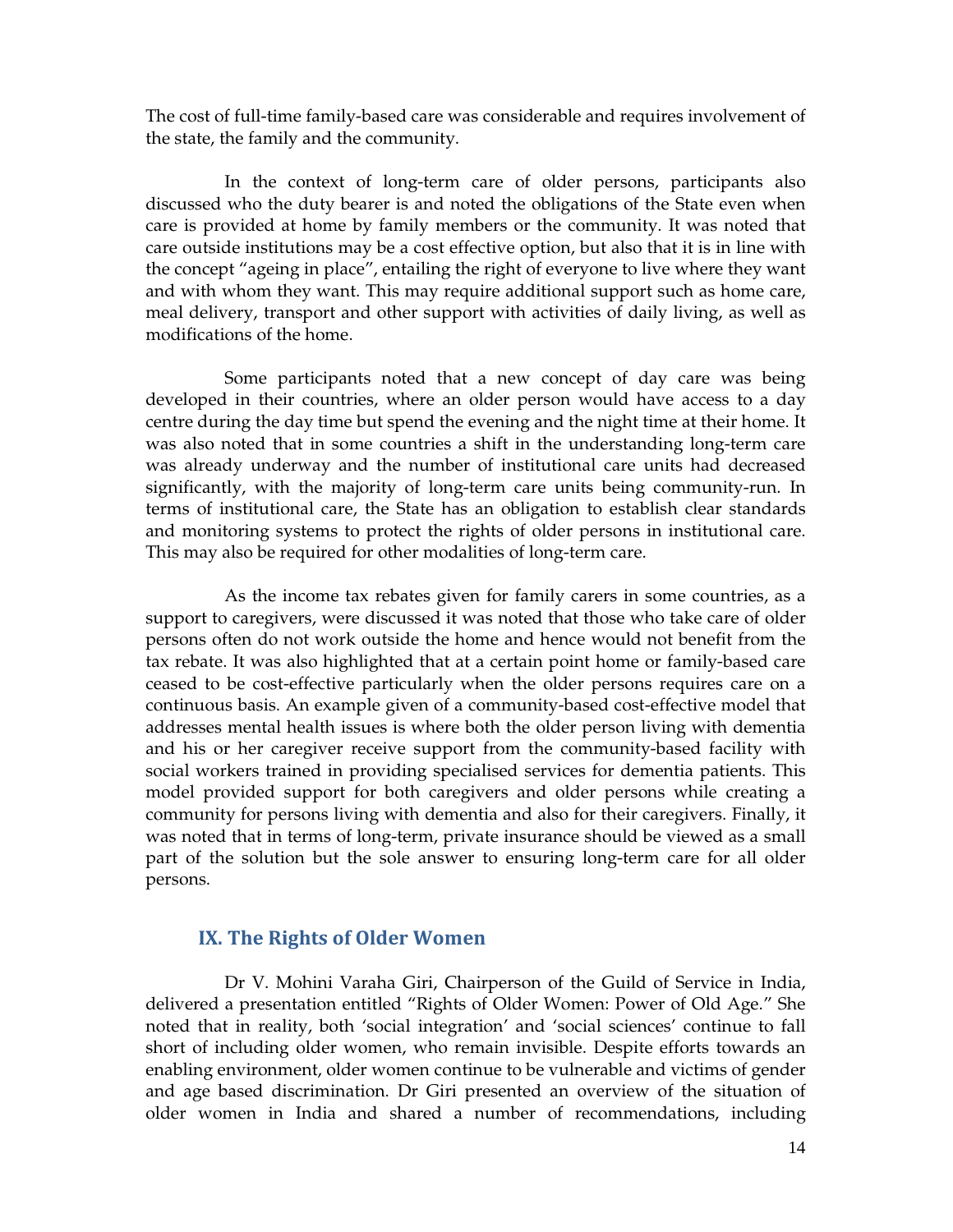The cost of full-time family-based care was considerable and requires involvement of the state, the family and the community.

In the context of long-term care of older persons, participants also discussed who the duty bearer is and noted the obligations of the State even when care is provided at home by family members or the community. It was noted that care outside institutions may be a cost effective option, but also that it is in line with the concept "ageing in place", entailing the right of everyone to live where they want and with whom they want. This may require additional support such as home care, meal delivery, transport and other support with activities of daily living, as well as modifications of the home.

Some participants noted that a new concept of day care was being developed in their countries, where an older person would have access to a day centre during the day time but spend the evening and the night time at their home. It was also noted that in some countries a shift in the understanding long-term care was already underway and the number of institutional care units had decreased significantly, with the majority of long-term care units being community-run. In terms of institutional care, the State has an obligation to establish clear standards and monitoring systems to protect the rights of older persons in institutional care. This may also be required for other modalities of long-term care.

As the income tax rebates given for family carers in some countries, as a support to caregivers, were discussed it was noted that those who take care of older persons often do not work outside the home and hence would not benefit from the tax rebate. It was also highlighted that at a certain point home or family-based care ceased to be cost-effective particularly when the older persons requires care on a continuous basis. An example given of a community-based cost-effective model that addresses mental health issues is where both the older person living with dementia and his or her caregiver receive support from the community-based facility with social workers trained in providing specialised services for dementia patients. This model provided support for both caregivers and older persons while creating a community for persons living with dementia and also for their caregivers. Finally, it was noted that in terms of long-term, private insurance should be viewed as a small part of the solution but the sole answer to ensuring long-term care for all older persons.

## IX. The Rights of Older Women

Dr V. Mohini Varaha Giri, Chairperson of the Guild of Service in India, delivered a presentation entitled "Rights of Older Women: Power of Old Age." She noted that in reality, both 'social integration' and 'social sciences' continue to fall short of including older women, who remain invisible. Despite efforts towards an enabling environment, older women continue to be vulnerable and victims of gender and age based discrimination. Dr Giri presented an overview of the situation of older women in India and shared a number of recommendations, including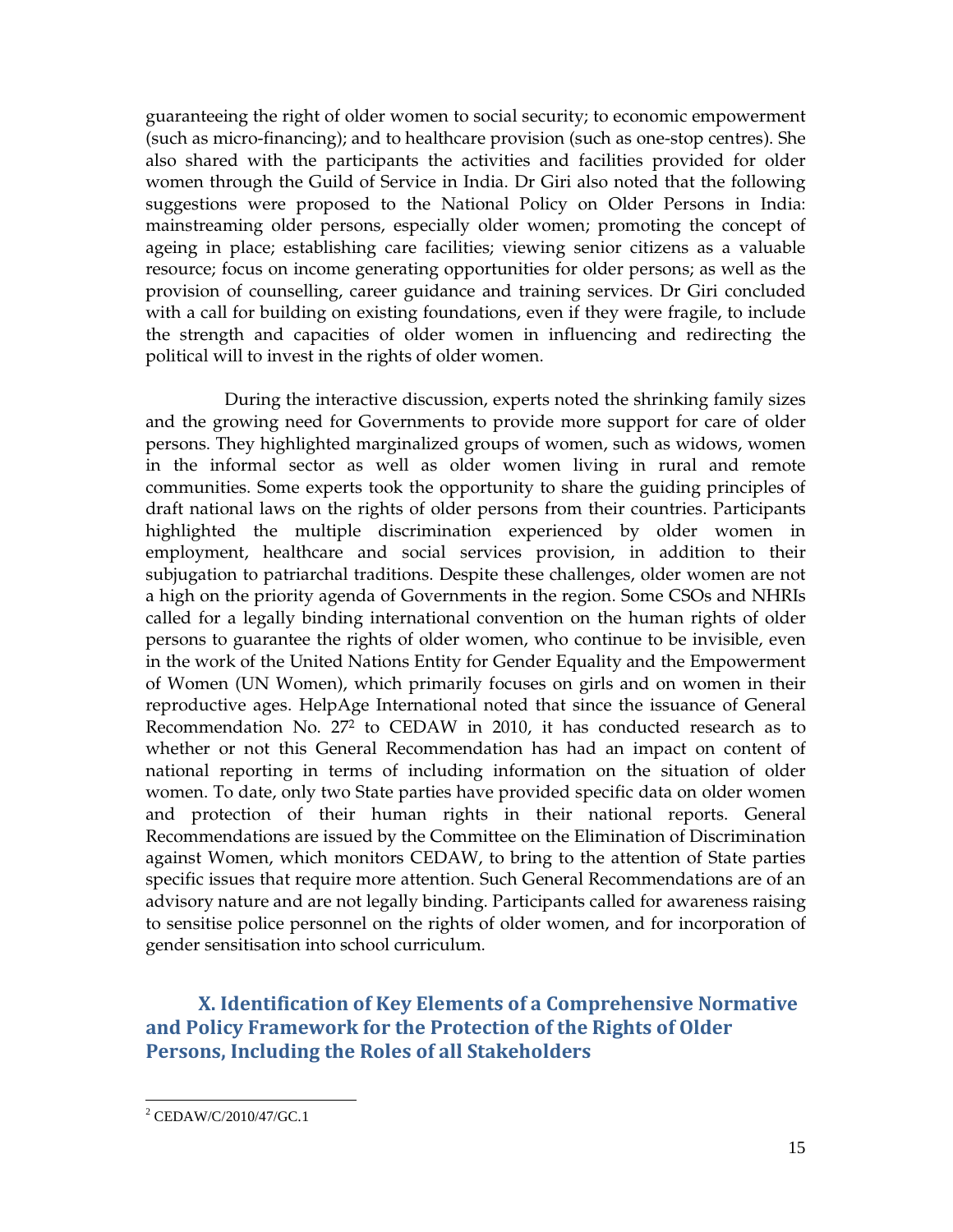guaranteeing the right of older women to social security; to economic empowerment (such as micro-financing); and to healthcare provision (such as one-stop centres). She also shared with the participants the activities and facilities provided for older women through the Guild of Service in India. Dr Giri also noted that the following suggestions were proposed to the National Policy on Older Persons in India: mainstreaming older persons, especially older women; promoting the concept of ageing in place; establishing care facilities; viewing senior citizens as a valuable resource; focus on income generating opportunities for older persons; as well as the provision of counselling, career guidance and training services. Dr Giri concluded with a call for building on existing foundations, even if they were fragile, to include the strength and capacities of older women in influencing and redirecting the political will to invest in the rights of older women.

During the interactive discussion, experts noted the shrinking family sizes and the growing need for Governments to provide more support for care of older persons. They highlighted marginalized groups of women, such as widows, women in the informal sector as well as older women living in rural and remote communities. Some experts took the opportunity to share the guiding principles of draft national laws on the rights of older persons from their countries. Participants highlighted the multiple discrimination experienced by older women in employment, healthcare and social services provision, in addition to their subjugation to patriarchal traditions. Despite these challenges, older women are not a high on the priority agenda of Governments in the region. Some CSOs and NHRIs called for a legally binding international convention on the human rights of older persons to guarantee the rights of older women, who continue to be invisible, even in the work of the United Nations Entity for Gender Equality and the Empowerment of Women (UN Women), which primarily focuses on girls and on women in their reproductive ages. HelpAge International noted that since the issuance of General Recommendation No. 27<sup>2</sup> to CEDAW in 2010, it has conducted research as to whether or not this General Recommendation has had an impact on content of national reporting in terms of including information on the situation of older women. To date, only two State parties have provided specific data on older women and protection of their human rights in their national reports. General Recommendations are issued by the Committee on the Elimination of Discrimination against Women, which monitors CEDAW, to bring to the attention of State parties specific issues that require more attention. Such General Recommendations are of an advisory nature and are not legally binding. Participants called for awareness raising to sensitise police personnel on the rights of older women, and for incorporation of gender sensitisation into school curriculum.

X. Identification of Key Elements of a Comprehensive Normative and Policy Framework for the Protection of the Rights of Older Persons, Including the Roles of all Stakeholders

-

<sup>2</sup> CEDAW/C/2010/47/GC.1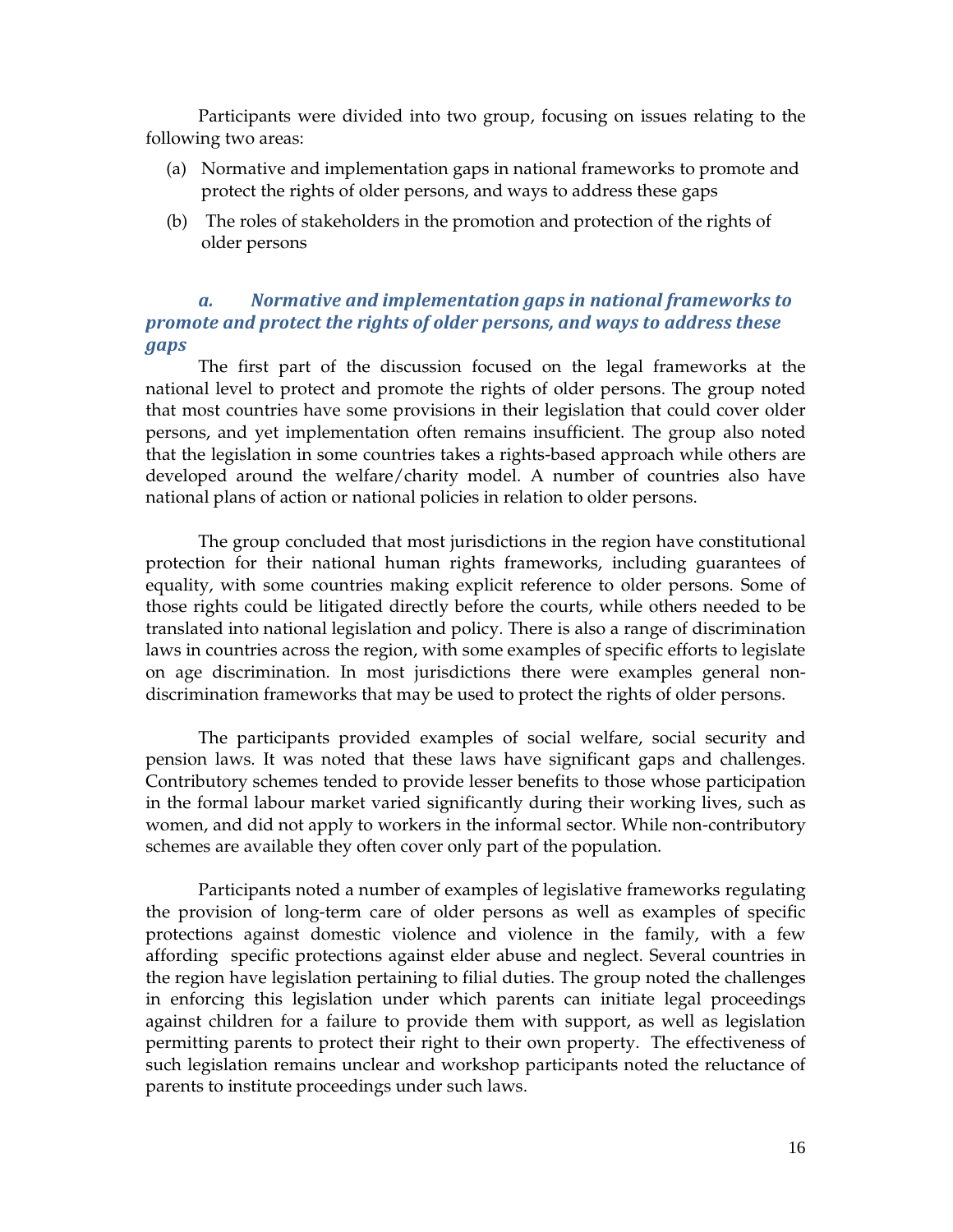Participants were divided into two group, focusing on issues relating to the following two areas:

- (a) Normative and implementation gaps in national frameworks to promote and protect the rights of older persons, and ways to address these gaps
- (b) The roles of stakeholders in the promotion and protection of the rights of older persons

## a. Normative and implementation gaps in national frameworks to promote and protect the rights of older persons, and ways to address these gaps

The first part of the discussion focused on the legal frameworks at the national level to protect and promote the rights of older persons. The group noted that most countries have some provisions in their legislation that could cover older persons, and yet implementation often remains insufficient. The group also noted that the legislation in some countries takes a rights-based approach while others are developed around the welfare/charity model. A number of countries also have national plans of action or national policies in relation to older persons.

The group concluded that most jurisdictions in the region have constitutional protection for their national human rights frameworks, including guarantees of equality, with some countries making explicit reference to older persons. Some of those rights could be litigated directly before the courts, while others needed to be translated into national legislation and policy. There is also a range of discrimination laws in countries across the region, with some examples of specific efforts to legislate on age discrimination. In most jurisdictions there were examples general nondiscrimination frameworks that may be used to protect the rights of older persons.

The participants provided examples of social welfare, social security and pension laws. It was noted that these laws have significant gaps and challenges. Contributory schemes tended to provide lesser benefits to those whose participation in the formal labour market varied significantly during their working lives, such as women, and did not apply to workers in the informal sector. While non-contributory schemes are available they often cover only part of the population.

Participants noted a number of examples of legislative frameworks regulating the provision of long-term care of older persons as well as examples of specific protections against domestic violence and violence in the family, with a few affording specific protections against elder abuse and neglect. Several countries in the region have legislation pertaining to filial duties. The group noted the challenges in enforcing this legislation under which parents can initiate legal proceedings against children for a failure to provide them with support, as well as legislation permitting parents to protect their right to their own property. The effectiveness of such legislation remains unclear and workshop participants noted the reluctance of parents to institute proceedings under such laws.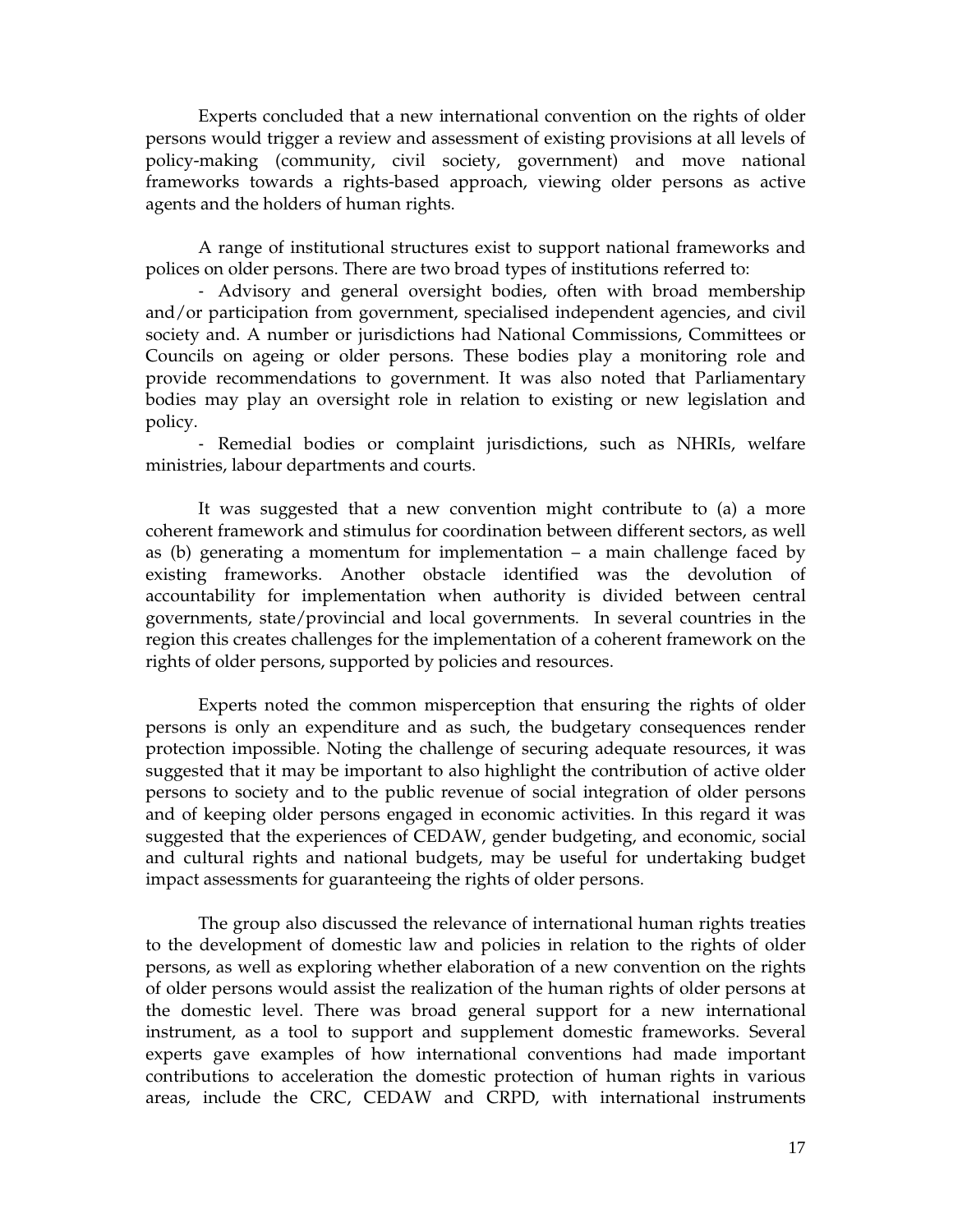Experts concluded that a new international convention on the rights of older persons would trigger a review and assessment of existing provisions at all levels of policy-making (community, civil society, government) and move national frameworks towards a rights-based approach, viewing older persons as active agents and the holders of human rights.

A range of institutional structures exist to support national frameworks and polices on older persons. There are two broad types of institutions referred to:

- Advisory and general oversight bodies, often with broad membership and/or participation from government, specialised independent agencies, and civil society and. A number or jurisdictions had National Commissions, Committees or Councils on ageing or older persons. These bodies play a monitoring role and provide recommendations to government. It was also noted that Parliamentary bodies may play an oversight role in relation to existing or new legislation and policy.

- Remedial bodies or complaint jurisdictions, such as NHRIs, welfare ministries, labour departments and courts.

It was suggested that a new convention might contribute to (a) a more coherent framework and stimulus for coordination between different sectors, as well as (b) generating a momentum for implementation – a main challenge faced by existing frameworks. Another obstacle identified was the devolution of accountability for implementation when authority is divided between central governments, state/provincial and local governments. In several countries in the region this creates challenges for the implementation of a coherent framework on the rights of older persons, supported by policies and resources.

Experts noted the common misperception that ensuring the rights of older persons is only an expenditure and as such, the budgetary consequences render protection impossible. Noting the challenge of securing adequate resources, it was suggested that it may be important to also highlight the contribution of active older persons to society and to the public revenue of social integration of older persons and of keeping older persons engaged in economic activities. In this regard it was suggested that the experiences of CEDAW, gender budgeting, and economic, social and cultural rights and national budgets, may be useful for undertaking budget impact assessments for guaranteeing the rights of older persons.

The group also discussed the relevance of international human rights treaties to the development of domestic law and policies in relation to the rights of older persons, as well as exploring whether elaboration of a new convention on the rights of older persons would assist the realization of the human rights of older persons at the domestic level. There was broad general support for a new international instrument, as a tool to support and supplement domestic frameworks. Several experts gave examples of how international conventions had made important contributions to acceleration the domestic protection of human rights in various areas, include the CRC, CEDAW and CRPD, with international instruments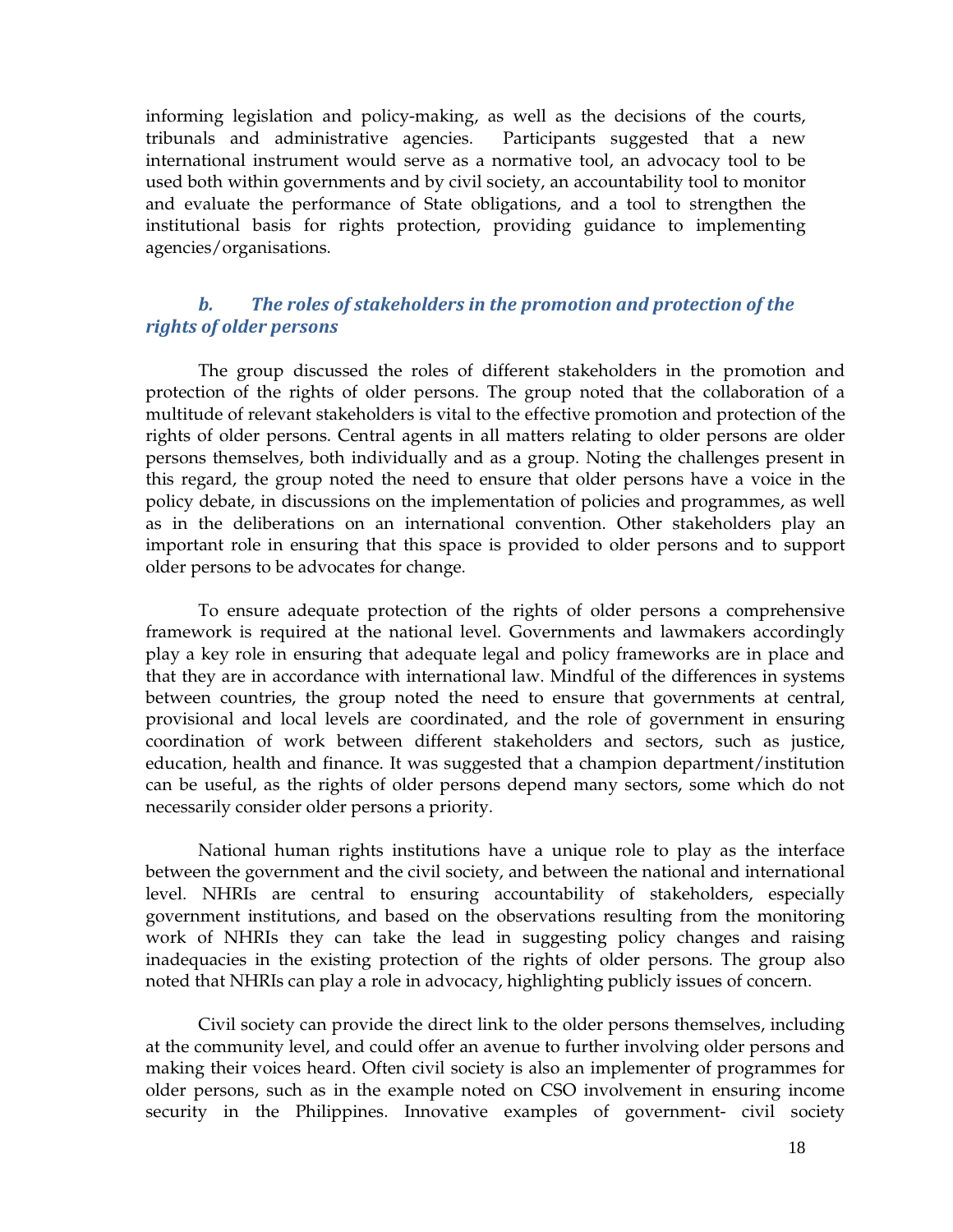informing legislation and policy-making, as well as the decisions of the courts, tribunals and administrative agencies. Participants suggested that a new international instrument would serve as a normative tool, an advocacy tool to be used both within governments and by civil society, an accountability tool to monitor and evaluate the performance of State obligations, and a tool to strengthen the institutional basis for rights protection, providing guidance to implementing agencies/organisations.

## b. The roles of stakeholders in the promotion and protection of the rights of older persons

The group discussed the roles of different stakeholders in the promotion and protection of the rights of older persons. The group noted that the collaboration of a multitude of relevant stakeholders is vital to the effective promotion and protection of the rights of older persons. Central agents in all matters relating to older persons are older persons themselves, both individually and as a group. Noting the challenges present in this regard, the group noted the need to ensure that older persons have a voice in the policy debate, in discussions on the implementation of policies and programmes, as well as in the deliberations on an international convention. Other stakeholders play an important role in ensuring that this space is provided to older persons and to support older persons to be advocates for change.

To ensure adequate protection of the rights of older persons a comprehensive framework is required at the national level. Governments and lawmakers accordingly play a key role in ensuring that adequate legal and policy frameworks are in place and that they are in accordance with international law. Mindful of the differences in systems between countries, the group noted the need to ensure that governments at central, provisional and local levels are coordinated, and the role of government in ensuring coordination of work between different stakeholders and sectors, such as justice, education, health and finance. It was suggested that a champion department/institution can be useful, as the rights of older persons depend many sectors, some which do not necessarily consider older persons a priority.

National human rights institutions have a unique role to play as the interface between the government and the civil society, and between the national and international level. NHRIs are central to ensuring accountability of stakeholders, especially government institutions, and based on the observations resulting from the monitoring work of NHRIs they can take the lead in suggesting policy changes and raising inadequacies in the existing protection of the rights of older persons. The group also noted that NHRIs can play a role in advocacy, highlighting publicly issues of concern.

 Civil society can provide the direct link to the older persons themselves, including at the community level, and could offer an avenue to further involving older persons and making their voices heard. Often civil society is also an implementer of programmes for older persons, such as in the example noted on CSO involvement in ensuring income security in the Philippines. Innovative examples of government- civil society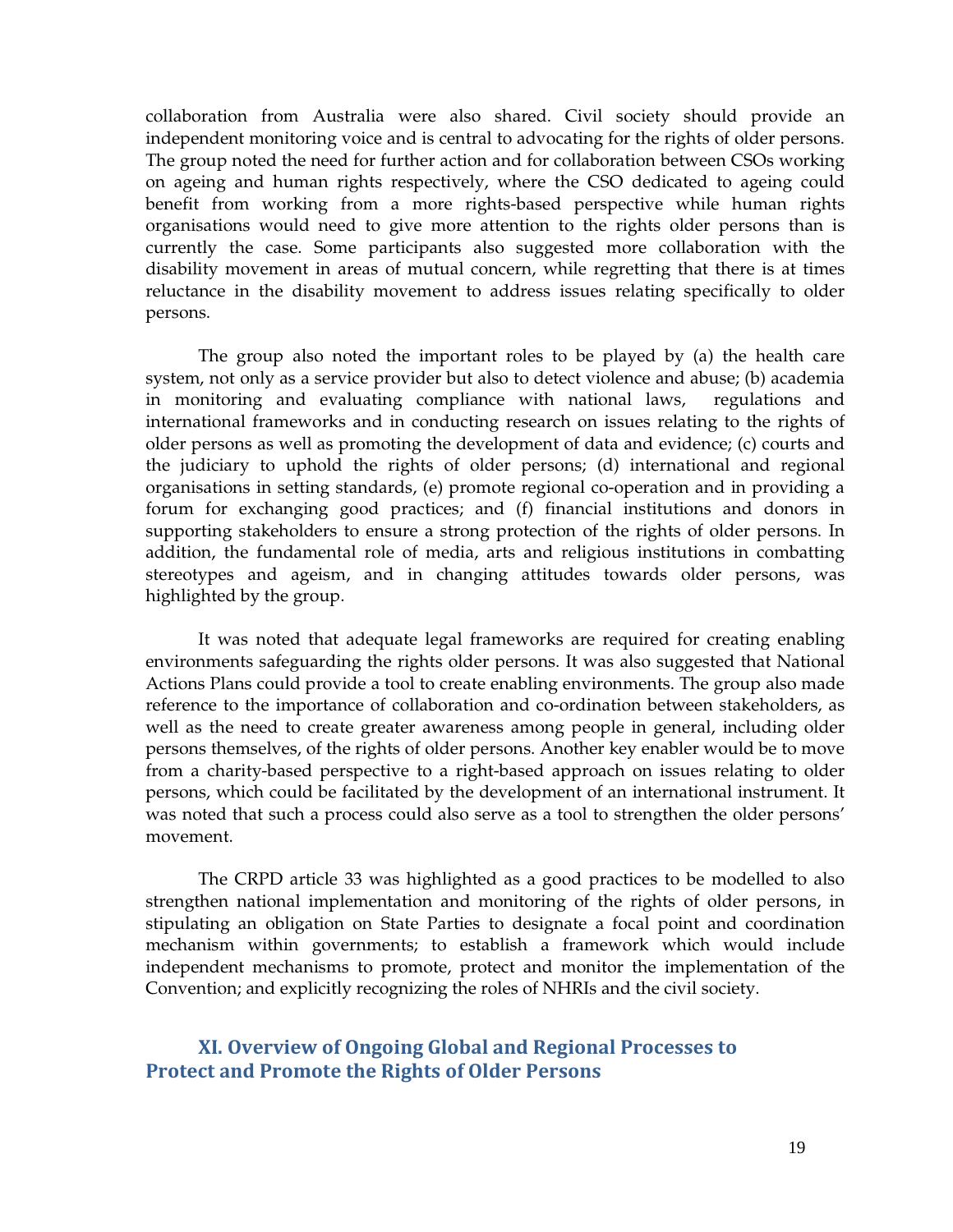collaboration from Australia were also shared. Civil society should provide an independent monitoring voice and is central to advocating for the rights of older persons. The group noted the need for further action and for collaboration between CSOs working on ageing and human rights respectively, where the CSO dedicated to ageing could benefit from working from a more rights-based perspective while human rights organisations would need to give more attention to the rights older persons than is currently the case. Some participants also suggested more collaboration with the disability movement in areas of mutual concern, while regretting that there is at times reluctance in the disability movement to address issues relating specifically to older persons.

 The group also noted the important roles to be played by (a) the health care system, not only as a service provider but also to detect violence and abuse; (b) academia in monitoring and evaluating compliance with national laws, regulations and international frameworks and in conducting research on issues relating to the rights of older persons as well as promoting the development of data and evidence; (c) courts and the judiciary to uphold the rights of older persons; (d) international and regional organisations in setting standards, (e) promote regional co-operation and in providing a forum for exchanging good practices; and (f) financial institutions and donors in supporting stakeholders to ensure a strong protection of the rights of older persons. In addition, the fundamental role of media, arts and religious institutions in combatting stereotypes and ageism, and in changing attitudes towards older persons, was highlighted by the group.

It was noted that adequate legal frameworks are required for creating enabling environments safeguarding the rights older persons. It was also suggested that National Actions Plans could provide a tool to create enabling environments. The group also made reference to the importance of collaboration and co-ordination between stakeholders, as well as the need to create greater awareness among people in general, including older persons themselves, of the rights of older persons. Another key enabler would be to move from a charity-based perspective to a right-based approach on issues relating to older persons, which could be facilitated by the development of an international instrument. It was noted that such a process could also serve as a tool to strengthen the older persons' movement.

The CRPD article 33 was highlighted as a good practices to be modelled to also strengthen national implementation and monitoring of the rights of older persons, in stipulating an obligation on State Parties to designate a focal point and coordination mechanism within governments; to establish a framework which would include independent mechanisms to promote, protect and monitor the implementation of the Convention; and explicitly recognizing the roles of NHRIs and the civil society.

## XI. Overview of Ongoing Global and Regional Processes to Protect and Promote the Rights of Older Persons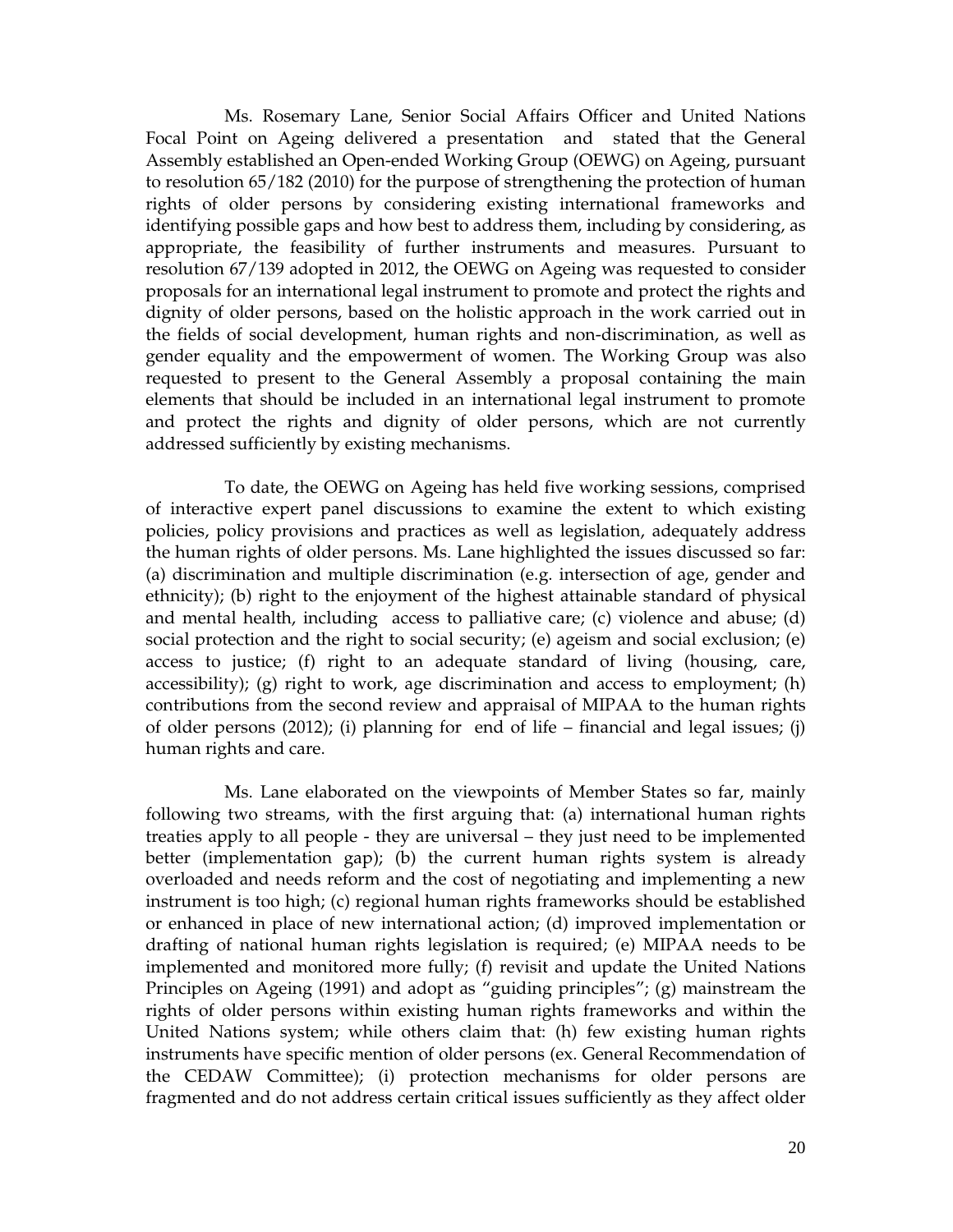Ms. Rosemary Lane, Senior Social Affairs Officer and United Nations Focal Point on Ageing delivered a presentation and stated that the General Assembly established an Open-ended Working Group (OEWG) on Ageing, pursuant to resolution 65/182 (2010) for the purpose of strengthening the protection of human rights of older persons by considering existing international frameworks and identifying possible gaps and how best to address them, including by considering, as appropriate, the feasibility of further instruments and measures. Pursuant to resolution 67/139 adopted in 2012, the OEWG on Ageing was requested to consider proposals for an international legal instrument to promote and protect the rights and dignity of older persons, based on the holistic approach in the work carried out in the fields of social development, human rights and non-discrimination, as well as gender equality and the empowerment of women. The Working Group was also requested to present to the General Assembly a proposal containing the main elements that should be included in an international legal instrument to promote and protect the rights and dignity of older persons, which are not currently addressed sufficiently by existing mechanisms.

To date, the OEWG on Ageing has held five working sessions, comprised of interactive expert panel discussions to examine the extent to which existing policies, policy provisions and practices as well as legislation, adequately address the human rights of older persons. Ms. Lane highlighted the issues discussed so far: (a) discrimination and multiple discrimination (e.g. intersection of age, gender and ethnicity); (b) right to the enjoyment of the highest attainable standard of physical and mental health, including access to palliative care; (c) violence and abuse; (d) social protection and the right to social security; (e) ageism and social exclusion; (e) access to justice; (f) right to an adequate standard of living (housing, care, accessibility); (g) right to work, age discrimination and access to employment; (h) contributions from the second review and appraisal of MIPAA to the human rights of older persons (2012); (i) planning for end of life – financial and legal issues; (j) human rights and care.

Ms. Lane elaborated on the viewpoints of Member States so far, mainly following two streams, with the first arguing that: (a) international human rights treaties apply to all people - they are universal – they just need to be implemented better (implementation gap); (b) the current human rights system is already overloaded and needs reform and the cost of negotiating and implementing a new instrument is too high; (c) regional human rights frameworks should be established or enhanced in place of new international action; (d) improved implementation or drafting of national human rights legislation is required; (e) MIPAA needs to be implemented and monitored more fully; (f) revisit and update the United Nations Principles on Ageing (1991) and adopt as "guiding principles"; (g) mainstream the rights of older persons within existing human rights frameworks and within the United Nations system; while others claim that: (h) few existing human rights instruments have specific mention of older persons (ex. General Recommendation of the CEDAW Committee); (i) protection mechanisms for older persons are fragmented and do not address certain critical issues sufficiently as they affect older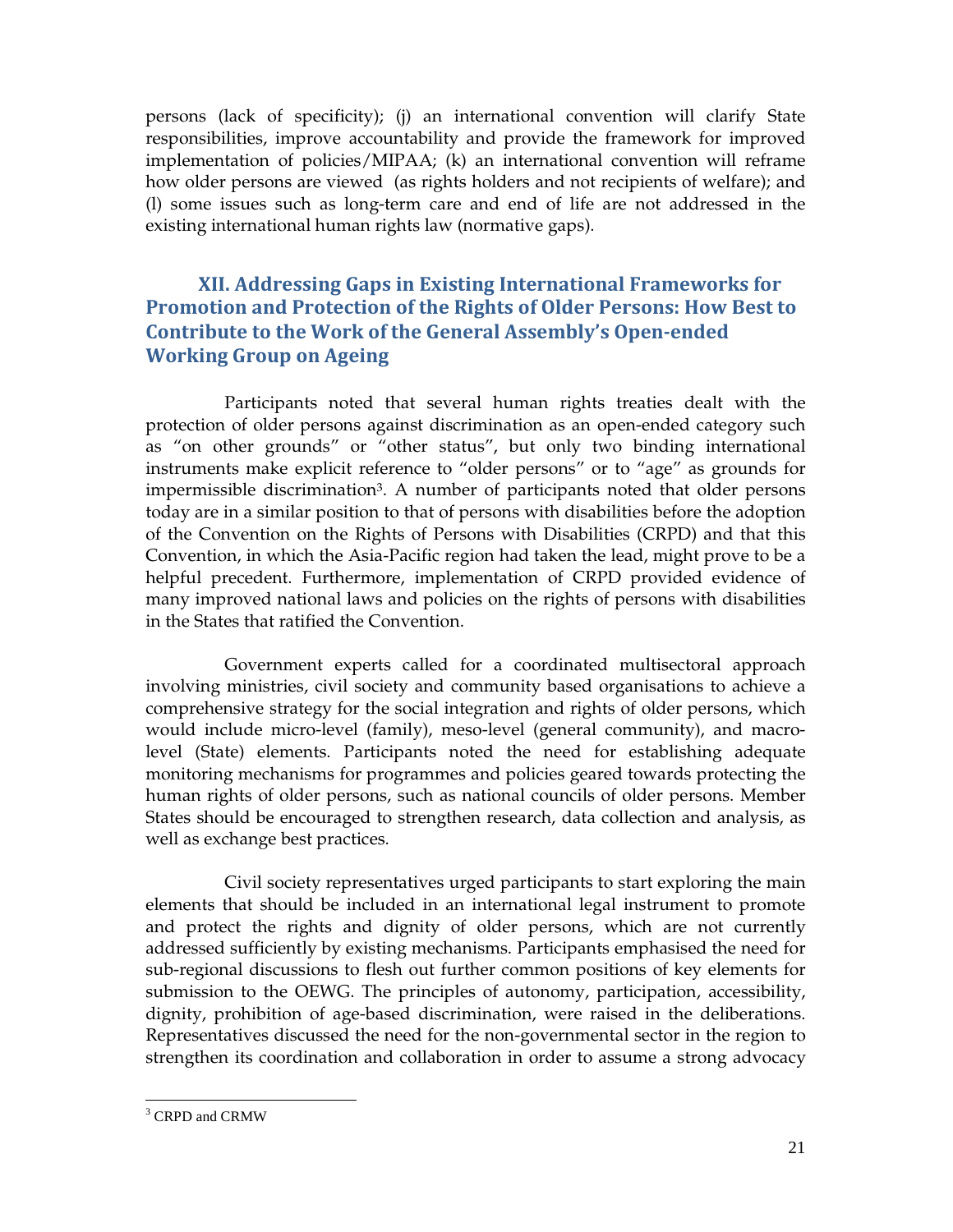persons (lack of specificity); (j) an international convention will clarify State responsibilities, improve accountability and provide the framework for improved implementation of policies/MIPAA; (k) an international convention will reframe how older persons are viewed (as rights holders and not recipients of welfare); and (l) some issues such as long-term care and end of life are not addressed in the existing international human rights law (normative gaps).

## XII. Addressing Gaps in Existing International Frameworks for Promotion and Protection of the Rights of Older Persons: How Best to Contribute to the Work of the General Assembly's Open-ended Working Group on Ageing

Participants noted that several human rights treaties dealt with the protection of older persons against discrimination as an open-ended category such as "on other grounds" or "other status", but only two binding international instruments make explicit reference to "older persons" or to "age" as grounds for impermissible discrimination<sup>3</sup>. A number of participants noted that older persons today are in a similar position to that of persons with disabilities before the adoption of the Convention on the Rights of Persons with Disabilities (CRPD) and that this Convention, in which the Asia-Pacific region had taken the lead, might prove to be a helpful precedent. Furthermore, implementation of CRPD provided evidence of many improved national laws and policies on the rights of persons with disabilities in the States that ratified the Convention.

Government experts called for a coordinated multisectoral approach involving ministries, civil society and community based organisations to achieve a comprehensive strategy for the social integration and rights of older persons, which would include micro-level (family), meso-level (general community), and macrolevel (State) elements. Participants noted the need for establishing adequate monitoring mechanisms for programmes and policies geared towards protecting the human rights of older persons, such as national councils of older persons. Member States should be encouraged to strengthen research, data collection and analysis, as well as exchange best practices.

Civil society representatives urged participants to start exploring the main elements that should be included in an international legal instrument to promote and protect the rights and dignity of older persons, which are not currently addressed sufficiently by existing mechanisms. Participants emphasised the need for sub-regional discussions to flesh out further common positions of key elements for submission to the OEWG. The principles of autonomy, participation, accessibility, dignity, prohibition of age-based discrimination, were raised in the deliberations. Representatives discussed the need for the non-governmental sector in the region to strengthen its coordination and collaboration in order to assume a strong advocacy

<sup>&</sup>lt;sup>3</sup> CRPD and CRMW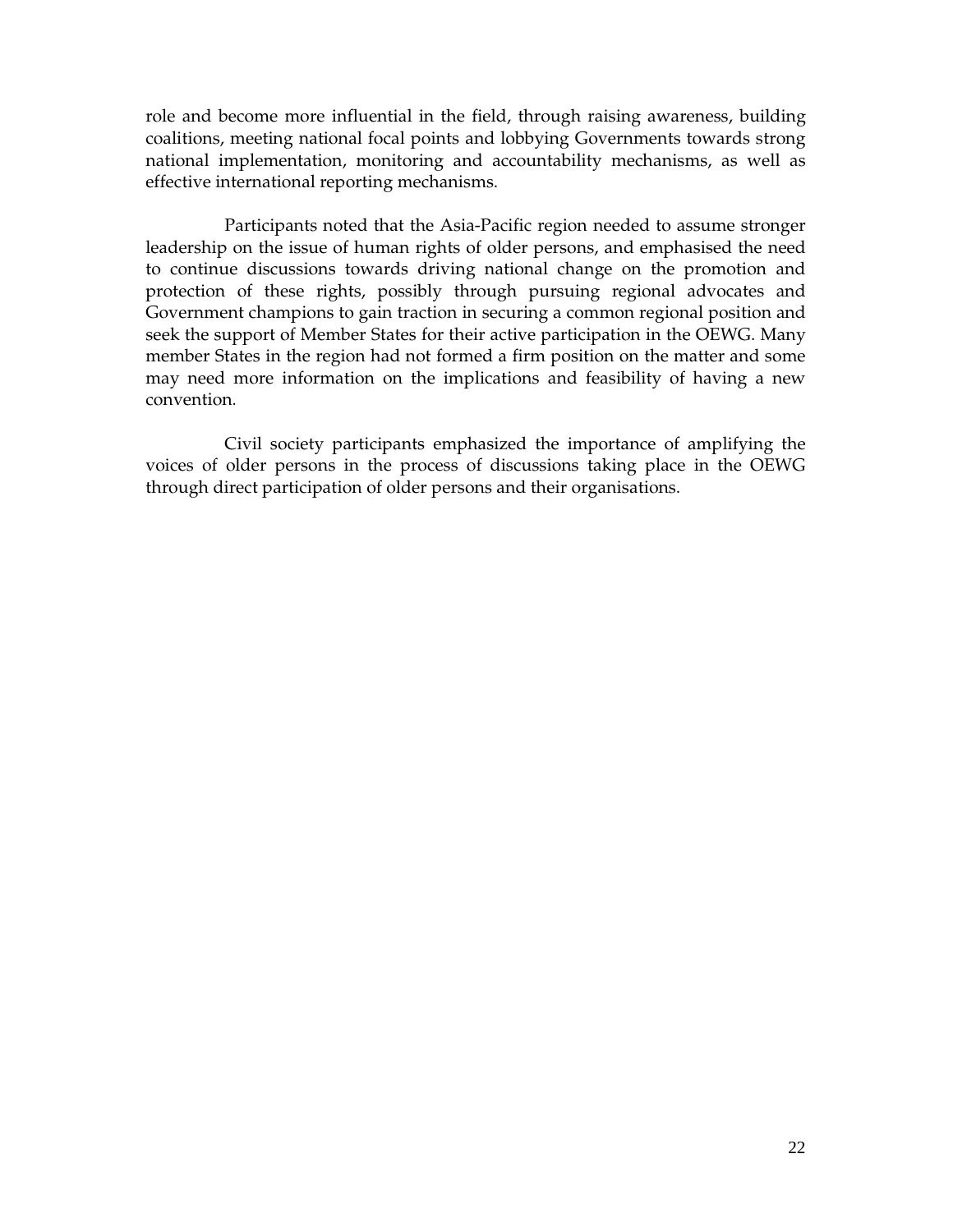role and become more influential in the field, through raising awareness, building coalitions, meeting national focal points and lobbying Governments towards strong national implementation, monitoring and accountability mechanisms, as well as effective international reporting mechanisms.

Participants noted that the Asia-Pacific region needed to assume stronger leadership on the issue of human rights of older persons, and emphasised the need to continue discussions towards driving national change on the promotion and protection of these rights, possibly through pursuing regional advocates and Government champions to gain traction in securing a common regional position and seek the support of Member States for their active participation in the OEWG. Many member States in the region had not formed a firm position on the matter and some may need more information on the implications and feasibility of having a new convention.

Civil society participants emphasized the importance of amplifying the voices of older persons in the process of discussions taking place in the OEWG through direct participation of older persons and their organisations.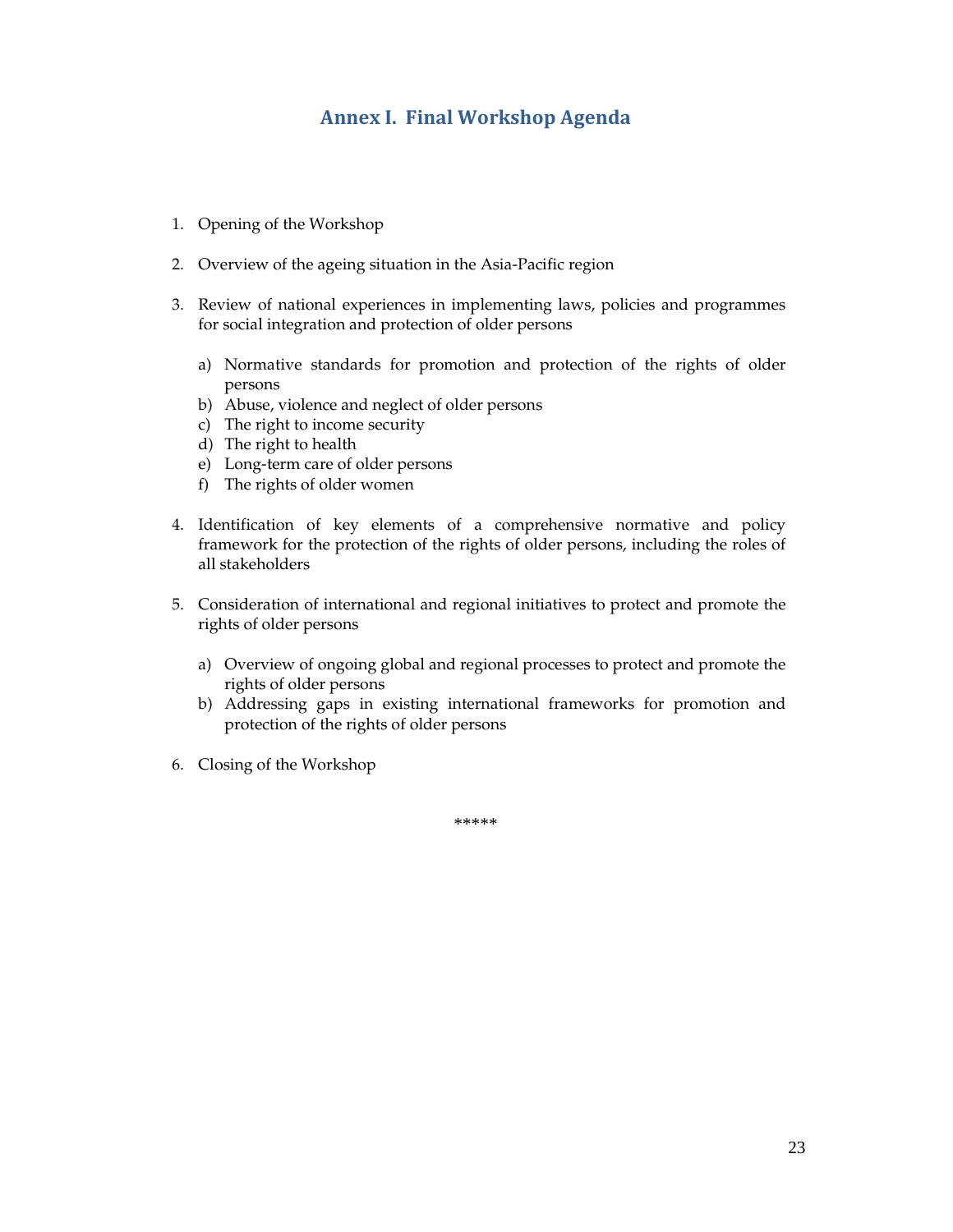## Annex I. Final Workshop Agenda

- 1. Opening of the Workshop
- 2. Overview of the ageing situation in the Asia-Pacific region
- 3. Review of national experiences in implementing laws, policies and programmes for social integration and protection of older persons
	- a) Normative standards for promotion and protection of the rights of older persons
	- b) Abuse, violence and neglect of older persons
	- c) The right to income security
	- d) The right to health
	- e) Long-term care of older persons
	- f) The rights of older women
- 4. Identification of key elements of a comprehensive normative and policy framework for the protection of the rights of older persons, including the roles of all stakeholders
- 5. Consideration of international and regional initiatives to protect and promote the rights of older persons
	- a) Overview of ongoing global and regional processes to protect and promote the rights of older persons
	- b) Addressing gaps in existing international frameworks for promotion and protection of the rights of older persons
- 6. Closing of the Workshop

\*\*\*\*\*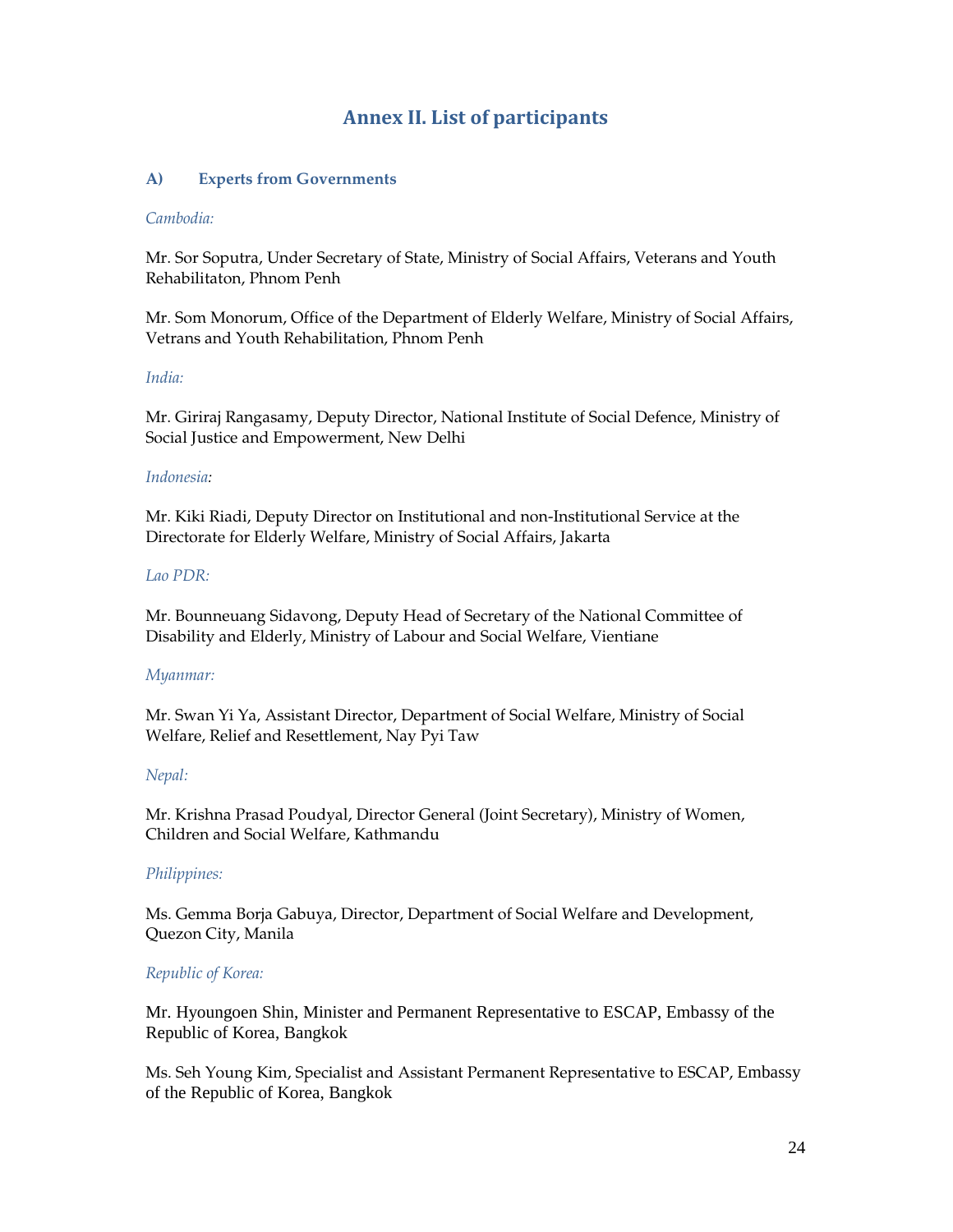## Annex II. List of participants

#### **A) Experts from Governments**

#### *Cambodia:*

Mr. Sor Soputra, Under Secretary of State, Ministry of Social Affairs, Veterans and Youth Rehabilitaton, Phnom Penh

Mr. Som Monorum, Office of the Department of Elderly Welfare, Ministry of Social Affairs, Vetrans and Youth Rehabilitation, Phnom Penh

#### *India:*

Mr. Giriraj Rangasamy, Deputy Director, National Institute of Social Defence, Ministry of Social Justice and Empowerment, New Delhi

#### *Indonesia:*

Mr. Kiki Riadi, Deputy Director on Institutional and non-Institutional Service at the Directorate for Elderly Welfare, Ministry of Social Affairs, Jakarta

#### *Lao PDR:*

Mr. Bounneuang Sidavong, Deputy Head of Secretary of the National Committee of Disability and Elderly, Ministry of Labour and Social Welfare, Vientiane

#### *Myanmar:*

Mr. Swan Yi Ya, Assistant Director, Department of Social Welfare, Ministry of Social Welfare, Relief and Resettlement, Nay Pyi Taw

#### *Nepal:*

Mr. Krishna Prasad Poudyal, Director General (Joint Secretary), Ministry of Women, Children and Social Welfare, Kathmandu

#### *Philippines:*

Ms. Gemma Borja Gabuya, Director, Department of Social Welfare and Development, Quezon City, Manila

#### *Republic of Korea:*

Mr. Hyoungoen Shin, Minister and Permanent Representative to ESCAP, Embassy of the Republic of Korea, Bangkok

Ms. Seh Young Kim, Specialist and Assistant Permanent Representative to ESCAP, Embassy of the Republic of Korea, Bangkok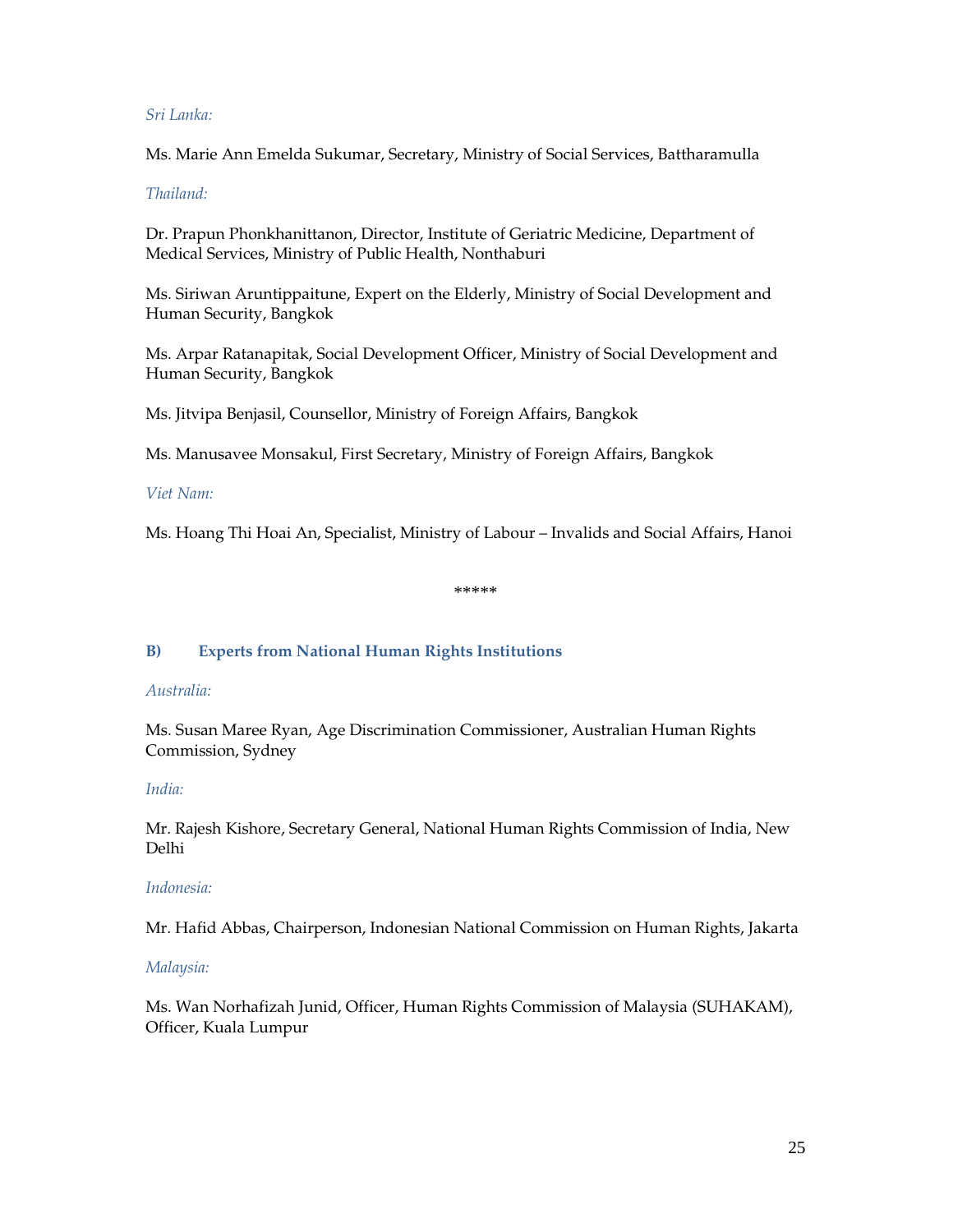#### *Sri Lanka:*

Ms. Marie Ann Emelda Sukumar, Secretary, Ministry of Social Services, Battharamulla

#### *Thailand:*

Dr. Prapun Phonkhanittanon, Director, Institute of Geriatric Medicine, Department of Medical Services, Ministry of Public Health, Nonthaburi

Ms. Siriwan Aruntippaitune, Expert on the Elderly, Ministry of Social Development and Human Security, Bangkok

Ms. Arpar Ratanapitak, Social Development Officer, Ministry of Social Development and Human Security, Bangkok

Ms. Jitvipa Benjasil, Counsellor, Ministry of Foreign Affairs, Bangkok

Ms. Manusavee Monsakul, First Secretary, Ministry of Foreign Affairs, Bangkok

#### *Viet Nam:*

Ms. Hoang Thi Hoai An, Specialist, Ministry of Labour – Invalids and Social Affairs, Hanoi

\*\*\*\*\*

#### **B) Experts from National Human Rights Institutions**

#### *Australia:*

Ms. Susan Maree Ryan, Age Discrimination Commissioner, Australian Human Rights Commission, Sydney

#### *India:*

Mr. Rajesh Kishore, Secretary General, National Human Rights Commission of India, New Delhi

#### *Indonesia:*

Mr. Hafid Abbas, Chairperson, Indonesian National Commission on Human Rights, Jakarta

#### *Malaysia:*

Ms. Wan Norhafizah Junid, Officer, Human Rights Commission of Malaysia (SUHAKAM), Officer, Kuala Lumpur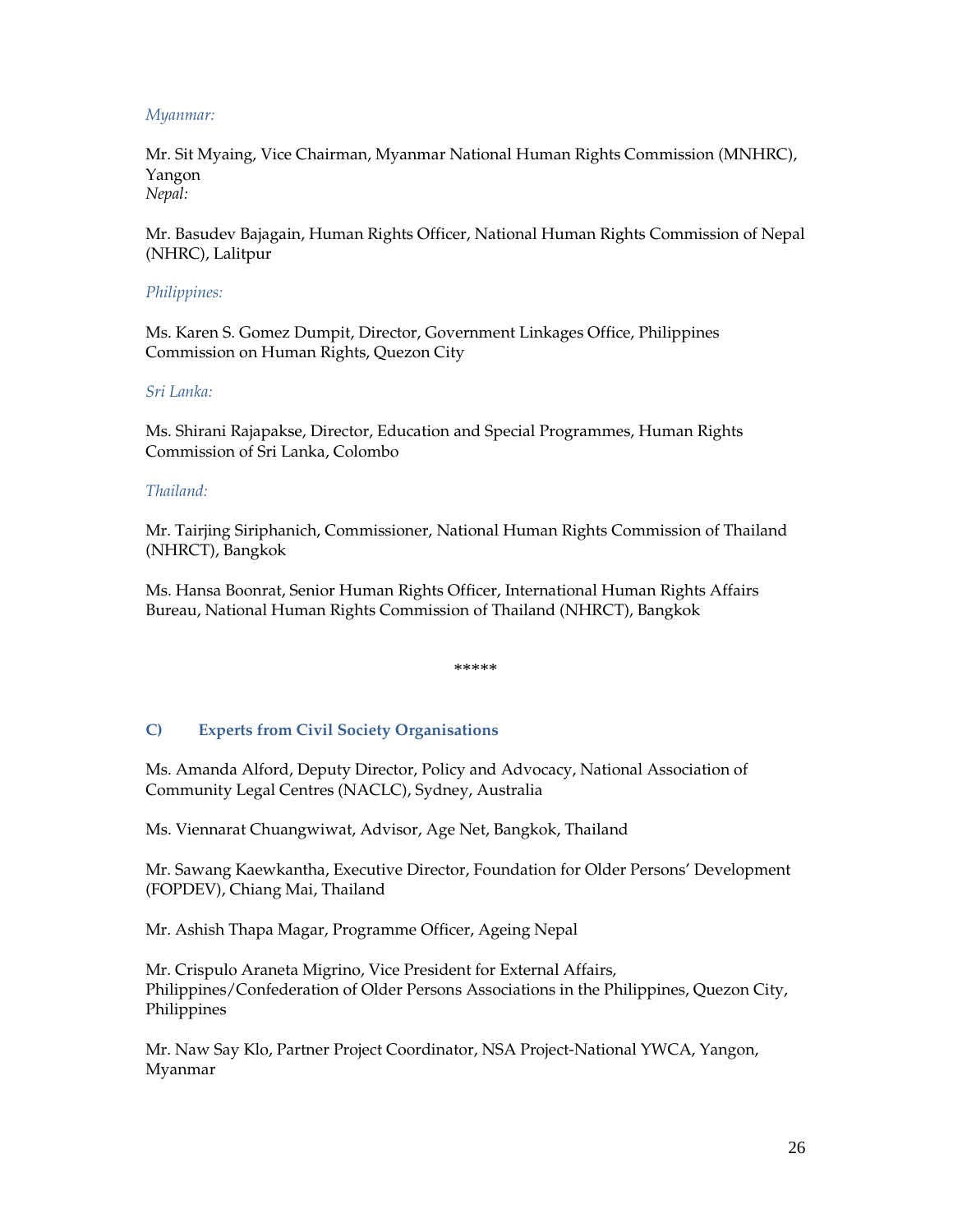#### *Myanmar:*

Mr. Sit Myaing, Vice Chairman, Myanmar National Human Rights Commission (MNHRC), Yangon *Nepal:* 

Mr. Basudev Bajagain, Human Rights Officer, National Human Rights Commission of Nepal (NHRC), Lalitpur

#### *Philippines:*

Ms. Karen S. Gomez Dumpit, Director, Government Linkages Office, Philippines Commission on Human Rights, Quezon City

#### *Sri Lanka:*

Ms. Shirani Rajapakse, Director, Education and Special Programmes, Human Rights Commission of Sri Lanka, Colombo

#### *Thailand:*

Mr. Tairjing Siriphanich, Commissioner, National Human Rights Commission of Thailand (NHRCT), Bangkok

Ms. Hansa Boonrat, Senior Human Rights Officer, International Human Rights Affairs Bureau, National Human Rights Commission of Thailand (NHRCT), Bangkok

\*\*\*\*\*

#### **C) Experts from Civil Society Organisations**

Ms. Amanda Alford, Deputy Director, Policy and Advocacy, National Association of Community Legal Centres (NACLC), Sydney, Australia

Ms. Viennarat Chuangwiwat, Advisor, Age Net, Bangkok, Thailand

Mr. Sawang Kaewkantha, Executive Director, Foundation for Older Persons' Development (FOPDEV), Chiang Mai, Thailand

Mr. Ashish Thapa Magar, Programme Officer, Ageing Nepal

Mr. Crispulo Araneta Migrino, Vice President for External Affairs, Philippines/Confederation of Older Persons Associations in the Philippines, Quezon City, Philippines

Mr. Naw Say Klo, Partner Project Coordinator, NSA Project-National YWCA, Yangon, Myanmar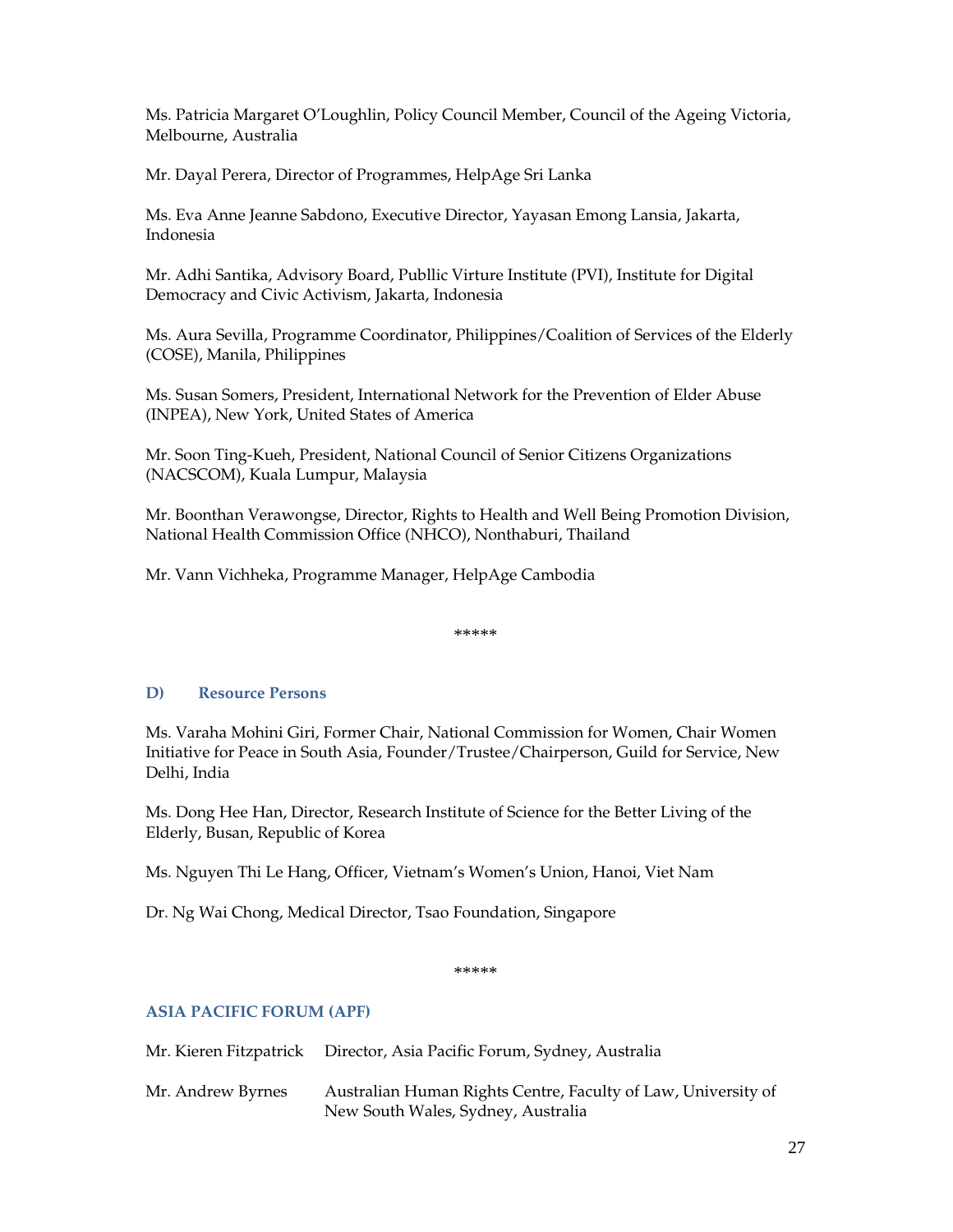Ms. Patricia Margaret O'Loughlin, Policy Council Member, Council of the Ageing Victoria, Melbourne, Australia

Mr. Dayal Perera, Director of Programmes, HelpAge Sri Lanka

Ms. Eva Anne Jeanne Sabdono, Executive Director, Yayasan Emong Lansia, Jakarta, Indonesia

Mr. Adhi Santika, Advisory Board, Publlic Virture Institute (PVI), Institute for Digital Democracy and Civic Activism, Jakarta, Indonesia

Ms. Aura Sevilla, Programme Coordinator, Philippines/Coalition of Services of the Elderly (COSE), Manila, Philippines

Ms. Susan Somers, President, International Network for the Prevention of Elder Abuse (INPEA), New York, United States of America

Mr. Soon Ting-Kueh, President, National Council of Senior Citizens Organizations (NACSCOM), Kuala Lumpur, Malaysia

Mr. Boonthan Verawongse, Director, Rights to Health and Well Being Promotion Division, National Health Commission Office (NHCO), Nonthaburi, Thailand

Mr. Vann Vichheka, Programme Manager, HelpAge Cambodia

\*\*\*\*\*

#### **D) Resource Persons**

Ms. Varaha Mohini Giri, Former Chair, National Commission for Women, Chair Women Initiative for Peace in South Asia, Founder/Trustee/Chairperson, Guild for Service, New Delhi, India

Ms. Dong Hee Han, Director, Research Institute of Science for the Better Living of the Elderly, Busan, Republic of Korea

Ms. Nguyen Thi Le Hang, Officer, Vietnam's Women's Union, Hanoi, Viet Nam

Dr. Ng Wai Chong, Medical Director, Tsao Foundation, Singapore

\*\*\*\*\*

#### **ASIA PACIFIC FORUM (APF)**

|                   | Mr. Kieren Fitzpatrick Director, Asia Pacific Forum, Sydney, Australia                              |
|-------------------|-----------------------------------------------------------------------------------------------------|
| Mr. Andrew Byrnes | Australian Human Rights Centre, Faculty of Law, University of<br>New South Wales, Sydney, Australia |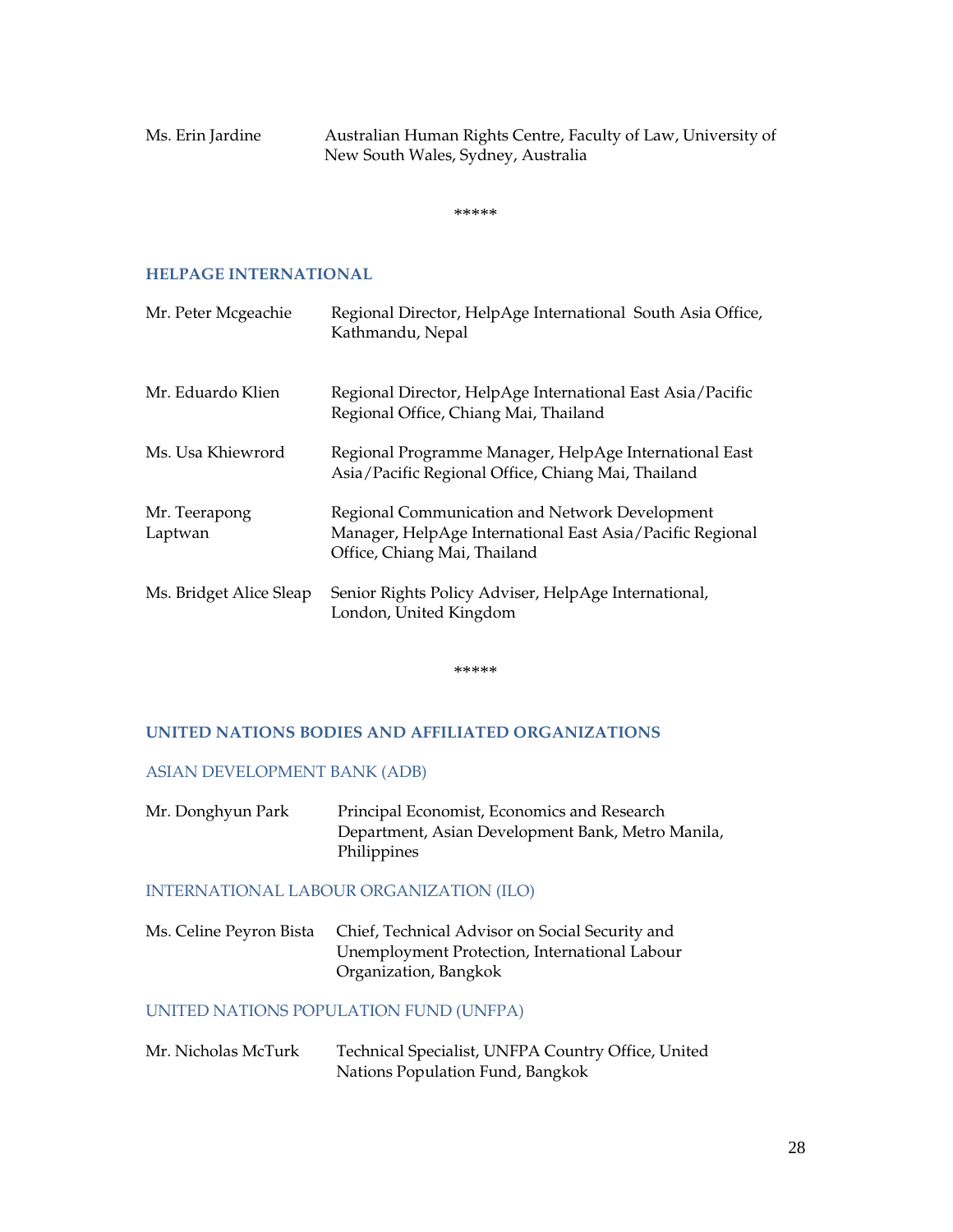Ms. Erin Jardine **Australian Human Rights Centre, Faculty of Law**, University of New South Wales, Sydney, Australia

\*\*\*\*\*

#### **HELPAGE INTERNATIONAL**

| Mr. Peter Mcgeachie      | Regional Director, HelpAge International South Asia Office,<br>Kathmandu, Nepal                                                             |
|--------------------------|---------------------------------------------------------------------------------------------------------------------------------------------|
| Mr. Eduardo Klien        | Regional Director, HelpAge International East Asia/Pacific<br>Regional Office, Chiang Mai, Thailand                                         |
| Ms. Usa Khiewrord        | Regional Programme Manager, HelpAge International East<br>Asia/Pacific Regional Office, Chiang Mai, Thailand                                |
| Mr. Teerapong<br>Laptwan | Regional Communication and Network Development<br>Manager, HelpAge International East Asia/Pacific Regional<br>Office, Chiang Mai, Thailand |
| Ms. Bridget Alice Sleap  | Senior Rights Policy Adviser, HelpAge International,<br>London, United Kingdom                                                              |

\*\*\*\*\*

#### **UNITED NATIONS BODIES AND AFFILIATED ORGANIZATIONS**

#### ASIAN DEVELOPMENT BANK (ADB)

Mr. Donghyun Park Principal Economist, Economics and Research Department, Asian Development Bank, Metro Manila, Philippines

#### INTERNATIONAL LABOUR ORGANIZATION (ILO)

Ms. Celine Peyron Bista Chief, Technical Advisor on Social Security and Unemployment Protection, International Labour Organization, Bangkok

#### UNITED NATIONS POPULATION FUND (UNFPA)

Mr. Nicholas McTurk Technical Specialist, UNFPA Country Office, United Nations Population Fund, Bangkok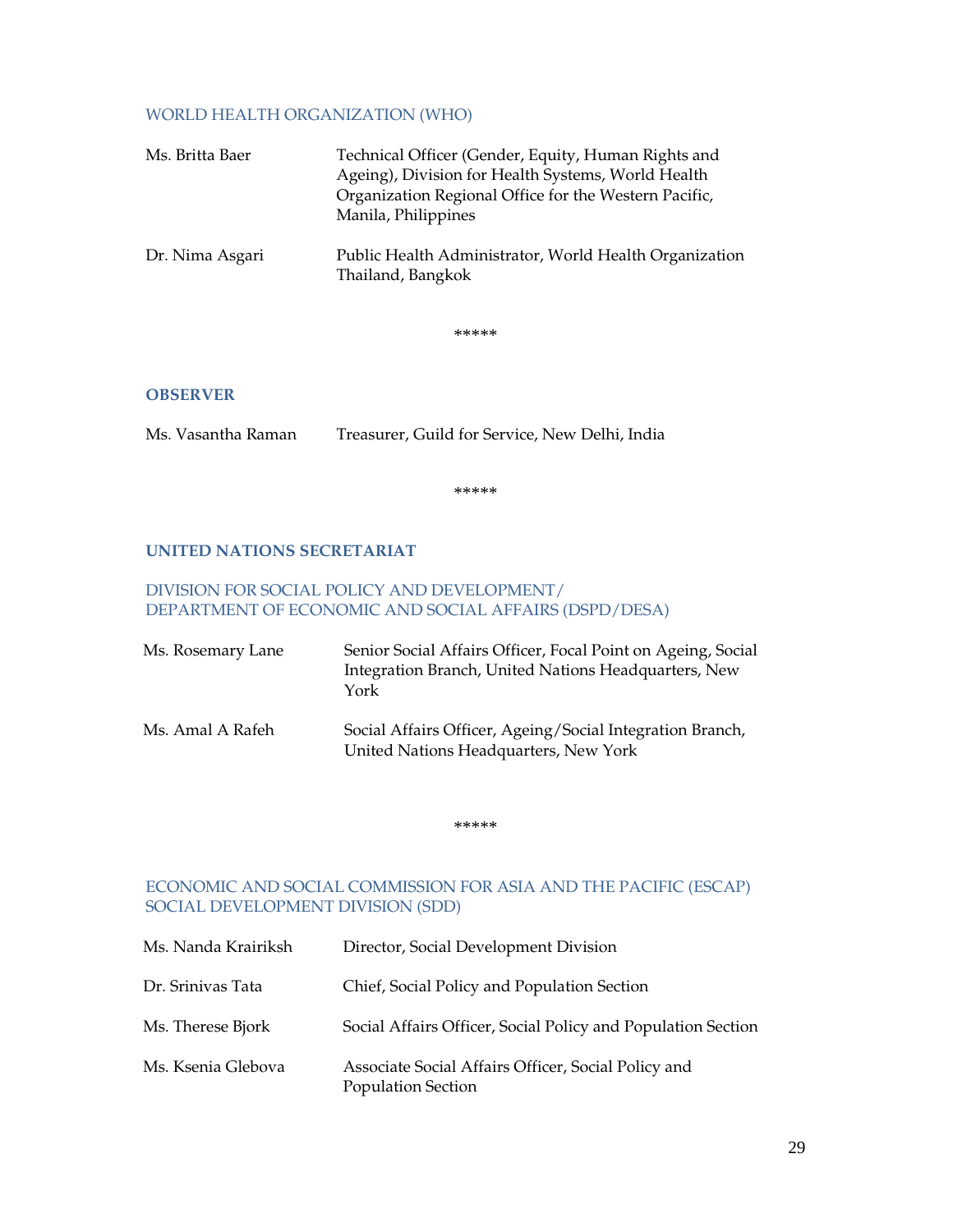#### WORLD HEALTH ORGANIZATION (WHO)

| Ms. Britta Baer | Technical Officer (Gender, Equity, Human Rights and<br>Ageing), Division for Health Systems, World Health<br>Organization Regional Office for the Western Pacific,<br>Manila, Philippines |
|-----------------|-------------------------------------------------------------------------------------------------------------------------------------------------------------------------------------------|
| Dr. Nima Asgari | Public Health Administrator, World Health Organization<br>Thailand, Bangkok                                                                                                               |

\*\*\*\*\*

#### **OBSERVER**

Ms. Vasantha Raman Treasurer, Guild for Service, New Delhi, India

\*\*\*\*\*

#### **UNITED NATIONS SECRETARIAT**

#### DIVISION FOR SOCIAL POLICY AND DEVELOPMENT/ DEPARTMENT OF ECONOMIC AND SOCIAL AFFAIRS (DSPD/DESA)

| Ms. Rosemary Lane | Senior Social Affairs Officer, Focal Point on Ageing, Social<br>Integration Branch, United Nations Headquarters, New<br>York |
|-------------------|------------------------------------------------------------------------------------------------------------------------------|
| Ms. Amal A Rafeh  | Social Affairs Officer, Ageing/Social Integration Branch,<br>United Nations Headquarters, New York                           |

\*\*\*\*\*

#### ECONOMIC AND SOCIAL COMMISSION FOR ASIA AND THE PACIFIC (ESCAP) SOCIAL DEVELOPMENT DIVISION (SDD)

| Ms. Nanda Krairiksh | Director, Social Development Division                                     |
|---------------------|---------------------------------------------------------------------------|
| Dr. Srinivas Tata   | Chief, Social Policy and Population Section                               |
| Ms. Therese Bjork   | Social Affairs Officer, Social Policy and Population Section              |
| Ms. Ksenia Glebova  | Associate Social Affairs Officer, Social Policy and<br>Population Section |